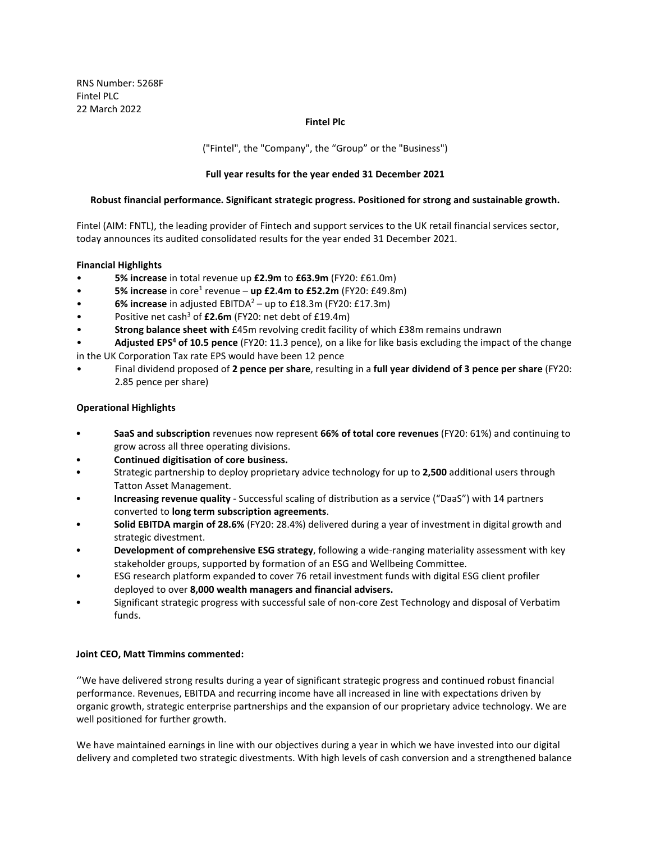RNS Number: 5268F Fintel PLC 22 March 2022

### **Fintel Plc**

("Fintel", the "Company", the "Group" or the "Business")

# **Full year results for the year ended 31 December 2021**

### **Robust financial performance. Significant strategic progress. Positioned for strong and sustainable growth.**

Fintel (AIM: FNTL), the leading provider of Fintech and support services to the UK retail financial services sector, today announces its audited consolidated results for the year ended 31 December 2021.

### **Financial Highlights**

- **5% increase** in total revenue up **£2.9m** to **£63.9m** (FY20: £61.0m)
- **5% increase** in core<sup>1</sup> revenue **up £2.4m to £52.2m** (FY20: £49.8m)
- **6% increase** in adjusted EBITDA2 up to £18.3m (FY20: £17.3m)
- Positive net cash<sup>3</sup> of £2.6m (FY20: net debt of £19.4m)
- **Strong balance sheet with** £45m revolving credit facility of which £38m remains undrawn
- **Adjusted EPS4 of 10.5 pence** (FY20: 11.3 pence), on a like for like basis excluding the impact of the change in the UK Corporation Tax rate EPS would have been 12 pence
- Final dividend proposed of **2 pence per share**, resulting in a **full year dividend of 3 pence per share** (FY20: 2.85 pence per share)

# **Operational Highlights**

- **SaaS and subscription** revenues now represent **66% of total core revenues** (FY20: 61%) and continuing to grow across all three operating divisions.
- **Continued digitisation of core business.**
- Strategic partnership to deploy proprietary advice technology for up to **2,500** additional users through Tatton Asset Management.
- **Increasing revenue quality** Successful scaling of distribution as a service ("DaaS") with 14 partners converted to **long term subscription agreements**.
- **Solid EBITDA margin of 28.6%** (FY20: 28.4%) delivered during a year of investment in digital growth and strategic divestment.
- **Development of comprehensive ESG strategy**, following a wide-ranging materiality assessment with key stakeholder groups, supported by formation of an ESG and Wellbeing Committee.
- ESG research platform expanded to cover 76 retail investment funds with digital ESG client profiler deployed to over **8,000 wealth managers and financial advisers.**
- Significant strategic progress with successful sale of non-core Zest Technology and disposal of Verbatim funds.

### **Joint CEO, Matt Timmins commented:**

''We have delivered strong results during a year of significant strategic progress and continued robust financial performance. Revenues, EBITDA and recurring income have all increased in line with expectations driven by organic growth, strategic enterprise partnerships and the expansion of our proprietary advice technology. We are well positioned for further growth.

We have maintained earnings in line with our objectives during a year in which we have invested into our digital delivery and completed two strategic divestments. With high levels of cash conversion and a strengthened balance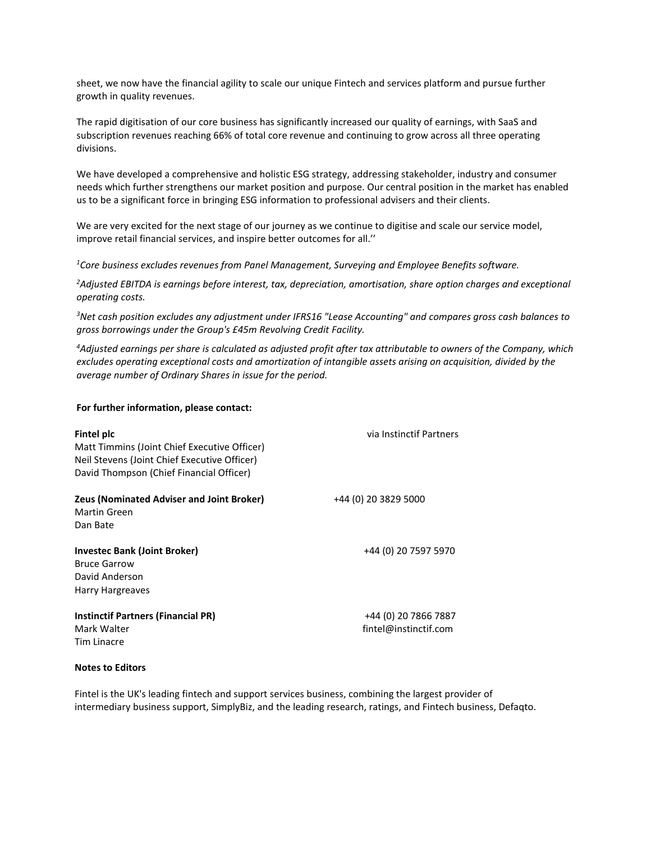sheet, we now have the financial agility to scale our unique Fintech and services platform and pursue further growth in quality revenues.

The rapid digitisation of our core business has significantly increased our quality of earnings, with SaaS and subscription revenues reaching 66% of total core revenue and continuing to grow across all three operating divisions.

We have developed a comprehensive and holistic ESG strategy, addressing stakeholder, industry and consumer needs which further strengthens our market position and purpose. Our central position in the market has enabled us to be a significant force in bringing ESG information to professional advisers and their clients.

We are very excited for the next stage of our journey as we continue to digitise and scale our service model, improve retail financial services, and inspire better outcomes for all.''

*1 Core business excludes revenues from Panel Management, Surveying and Employee Benefits software.*

*2 Adjusted EBITDA is earnings before interest, tax, depreciation, amortisation, share option charges and exceptional operating costs.*

*3 Net cash position excludes any adjustment under IFRS16 "Lease Accounting" and compares gross cash balances to gross borrowings under the Group's £45m Revolving Credit Facility.*

*4 Adjusted earnings per share is calculated as adjusted profit after tax attributable to owners of the Company, which excludes operating exceptional costs and amortization of intangible assets arising on acquisition, divided by the average number of Ordinary Shares in issue for the period.*

#### **For further information, please contact:**

| Fintel plc<br>Matt Timmins (Joint Chief Executive Officer)<br>Neil Stevens (Joint Chief Executive Officer)<br>David Thompson (Chief Financial Officer) | via Instinctif Partners                       |
|--------------------------------------------------------------------------------------------------------------------------------------------------------|-----------------------------------------------|
| <b>Zeus (Nominated Adviser and Joint Broker)</b><br><b>Martin Green</b><br>Dan Bate                                                                    | +44 (0) 20 3829 5000                          |
| <b>Investec Bank (Joint Broker)</b><br><b>Bruce Garrow</b><br>David Anderson<br>Harry Hargreaves                                                       | +44 (0) 20 7597 5970                          |
| <b>Instinctif Partners (Financial PR)</b><br>Mark Walter<br>Tim Linacre                                                                                | +44 (0) 20 7866 7887<br>fintel@instinctif.com |

#### **Notes to Editors**

Fintel is the UK's leading fintech and support services business, combining the largest provider of intermediary business support, SimplyBiz, and the leading research, ratings, and Fintech business, Defaqto.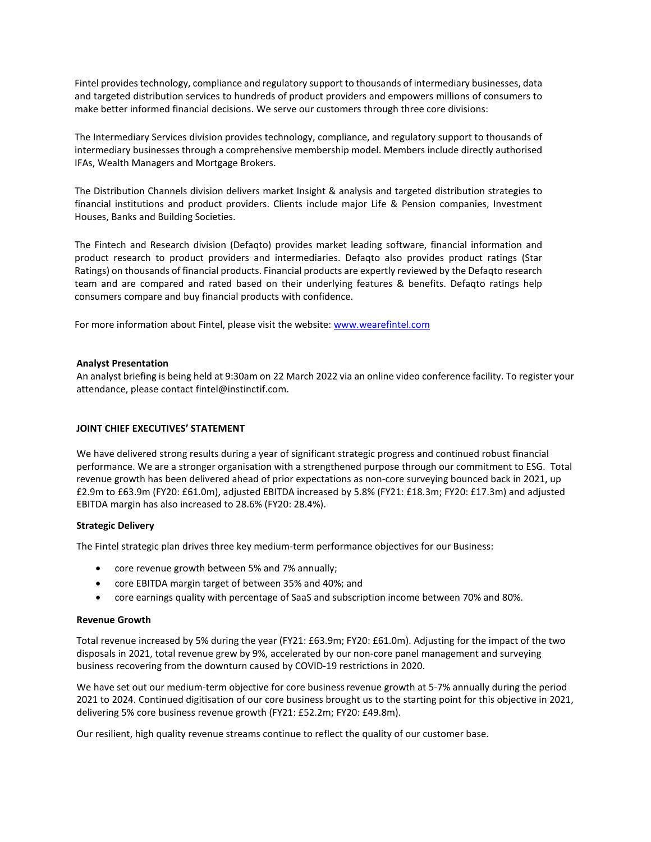Fintel provides technology, compliance and regulatory support to thousands of intermediary businesses, data and targeted distribution services to hundreds of product providers and empowers millions of consumers to make better informed financial decisions. We serve our customers through three core divisions:

The Intermediary Services division provides technology, compliance, and regulatory support to thousands of intermediary businesses through a comprehensive membership model. Members include directly authorised IFAs, Wealth Managers and Mortgage Brokers.

The Distribution Channels division delivers market Insight & analysis and targeted distribution strategies to financial institutions and product providers. Clients include major Life & Pension companies, Investment Houses, Banks and Building Societies.

The Fintech and Research division (Defaqto) provides market leading software, financial information and product research to product providers and intermediaries. Defaqto also provides product ratings (Star Ratings) on thousands of financial products. Financial products are expertly reviewed by the Defaqto research team and are compared and rated based on their underlying features & benefits. Defaqto ratings help consumers compare and buy financial products with confidence.

For more information about Fintel, please visit the website: [www.wearefintel.com](http://www.wearefintel.com/)

# **Analyst Presentation**

An analyst briefing is being held at 9:30am on 22 March 2022 via an online video conference facility. To register your attendance, please contact [fintel@instinctif.com.](mailto:fintel@instinctif.com)

# **JOINT CHIEF EXECUTIVES' STATEMENT**

We have delivered strong results during a year of significant strategic progress and continued robust financial performance. We are a stronger organisation with a strengthened purpose through our commitment to ESG. Total revenue growth has been delivered ahead of prior expectations as non-core surveying bounced back in 2021, up £2.9m to £63.9m (FY20: £61.0m), adjusted EBITDA increased by 5.8% (FY21: £18.3m; FY20: £17.3m) and adjusted EBITDA margin has also increased to 28.6% (FY20: 28.4%).

### **Strategic Delivery**

The Fintel strategic plan drives three key medium-term performance objectives for our Business:

- core revenue growth between 5% and 7% annually;
- core EBITDA margin target of between 35% and 40%; and
- core earnings quality with percentage of SaaS and subscription income between 70% and 80%.

### **Revenue Growth**

Total revenue increased by 5% during the year (FY21: £63.9m; FY20: £61.0m). Adjusting for the impact of the two disposals in 2021, total revenue grew by 9%, accelerated by our non-core panel management and surveying business recovering from the downturn caused by COVID-19 restrictions in 2020.

We have set out our medium-term objective for core business revenue growth at 5-7% annually during the period 2021 to 2024. Continued digitisation of our core business brought us to the starting point for this objective in 2021, delivering 5% core business revenue growth (FY21: £52.2m; FY20: £49.8m).

Our resilient, high quality revenue streams continue to reflect the quality of our customer base.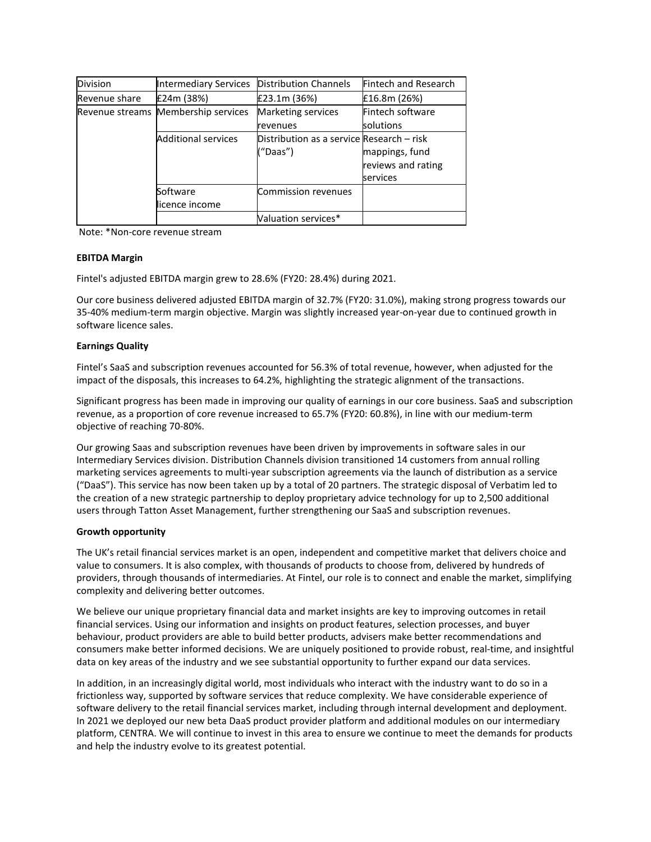| <b>Division</b> | Intermediary Services               | <b>Distribution Channels</b>              | Fintech and Research |
|-----------------|-------------------------------------|-------------------------------------------|----------------------|
| Revenue share   | £24m (38%)                          | £23.1m (36%)                              | £16.8m (26%)         |
|                 | Revenue streams Membership services | Marketing services                        | Fintech software     |
|                 |                                     | revenues                                  | solutions            |
|                 | <b>Additional services</b>          | Distribution as a service Research - risk |                      |
|                 |                                     | ("Daas")                                  | mappings, fund       |
|                 |                                     |                                           | reviews and rating   |
|                 |                                     |                                           | services             |
|                 | Software                            | Commission revenues                       |                      |
|                 | licence income                      |                                           |                      |
|                 |                                     | Valuation services*                       |                      |

Note: \*Non-core revenue stream

# **EBITDA Margin**

Fintel's adjusted EBITDA margin grew to 28.6% (FY20: 28.4%) during 2021.

Our core business delivered adjusted EBITDA margin of 32.7% (FY20: 31.0%), making strong progress towards our 35-40% medium-term margin objective. Margin was slightly increased year-on-year due to continued growth in software licence sales.

# **Earnings Quality**

Fintel's SaaS and subscription revenues accounted for 56.3% of total revenue, however, when adjusted for the impact of the disposals, this increases to 64.2%, highlighting the strategic alignment of the transactions.

Significant progress has been made in improving our quality of earnings in our core business. SaaS and subscription revenue, as a proportion of core revenue increased to 65.7% (FY20: 60.8%), in line with our medium-term objective of reaching 70-80%.

Our growing Saas and subscription revenues have been driven by improvements in software sales in our Intermediary Services division. Distribution Channels division transitioned 14 customers from annual rolling marketing services agreements to multi-year subscription agreements via the launch of distribution as a service ("DaaS"). This service has now been taken up by a total of 20 partners. The strategic disposal of Verbatim led to the creation of a new strategic partnership to deploy proprietary advice technology for up to 2,500 additional users through Tatton Asset Management, further strengthening our SaaS and subscription revenues.

# **Growth opportunity**

The UK's retail financial services market is an open, independent and competitive market that delivers choice and value to consumers. It is also complex, with thousands of products to choose from, delivered by hundreds of providers, through thousands of intermediaries. At Fintel, our role is to connect and enable the market, simplifying complexity and delivering better outcomes.

We believe our unique proprietary financial data and market insights are key to improving outcomes in retail financial services. Using our information and insights on product features, selection processes, and buyer behaviour, product providers are able to build better products, advisers make better recommendations and consumers make better informed decisions. We are uniquely positioned to provide robust, real-time, and insightful data on key areas of the industry and we see substantial opportunity to further expand our data services.

In addition, in an increasingly digital world, most individuals who interact with the industry want to do so in a frictionless way, supported by software services that reduce complexity. We have considerable experience of software delivery to the retail financial services market, including through internal development and deployment. In 2021 we deployed our new beta DaaS product provider platform and additional modules on our intermediary platform, CENTRA. We will continue to invest in this area to ensure we continue to meet the demands for products and help the industry evolve to its greatest potential.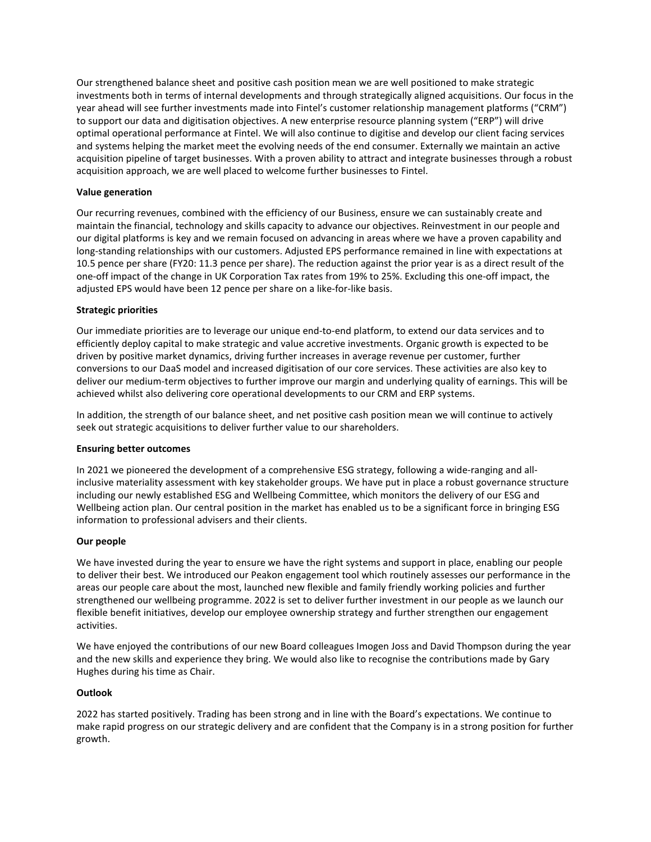Our strengthened balance sheet and positive cash position mean we are well positioned to make strategic investments both in terms of internal developments and through strategically aligned acquisitions. Our focus in the year ahead will see further investments made into Fintel's customer relationship management platforms ("CRM") to support our data and digitisation objectives. A new enterprise resource planning system ("ERP") will drive optimal operational performance at Fintel. We will also continue to digitise and develop our client facing services and systems helping the market meet the evolving needs of the end consumer. Externally we maintain an active acquisition pipeline of target businesses. With a proven ability to attract and integrate businesses through a robust acquisition approach, we are well placed to welcome further businesses to Fintel.

# **Value generation**

Our recurring revenues, combined with the efficiency of our Business, ensure we can sustainably create and maintain the financial, technology and skills capacity to advance our objectives. Reinvestment in our people and our digital platforms is key and we remain focused on advancing in areas where we have a proven capability and long-standing relationships with our customers. Adjusted EPS performance remained in line with expectations at 10.5 pence per share (FY20: 11.3 pence per share). The reduction against the prior year is as a direct result of the one-off impact of the change in UK Corporation Tax rates from 19% to 25%. Excluding this one-off impact, the adjusted EPS would have been 12 pence per share on a like-for-like basis.

# **Strategic priorities**

Our immediate priorities are to leverage our unique end-to-end platform, to extend our data services and to efficiently deploy capital to make strategic and value accretive investments. Organic growth is expected to be driven by positive market dynamics, driving further increases in average revenue per customer, further conversions to our DaaS model and increased digitisation of our core services. These activities are also key to deliver our medium-term objectives to further improve our margin and underlying quality of earnings. This will be achieved whilst also delivering core operational developments to our CRM and ERP systems.

In addition, the strength of our balance sheet, and net positive cash position mean we will continue to actively seek out strategic acquisitions to deliver further value to our shareholders.

### **Ensuring better outcomes**

In 2021 we pioneered the development of a comprehensive ESG strategy, following a wide-ranging and allinclusive materiality assessment with key stakeholder groups. We have put in place a robust governance structure including our newly established ESG and Wellbeing Committee, which monitors the delivery of our ESG and Wellbeing action plan. Our central position in the market has enabled us to be a significant force in bringing ESG information to professional advisers and their clients.

### **Our people**

We have invested during the year to ensure we have the right systems and support in place, enabling our people to deliver their best. We introduced our Peakon engagement tool which routinely assesses our performance in the areas our people care about the most, launched new flexible and family friendly working policies and further strengthened our wellbeing programme. 2022 is set to deliver further investment in our people as we launch our flexible benefit initiatives, develop our employee ownership strategy and further strengthen our engagement activities.

We have enjoyed the contributions of our new Board colleagues Imogen Joss and David Thompson during the year and the new skills and experience they bring. We would also like to recognise the contributions made by Gary Hughes during his time as Chair.

### **Outlook**

2022 has started positively. Trading has been strong and in line with the Board's expectations. We continue to make rapid progress on our strategic delivery and are confident that the Company is in a strong position for further growth.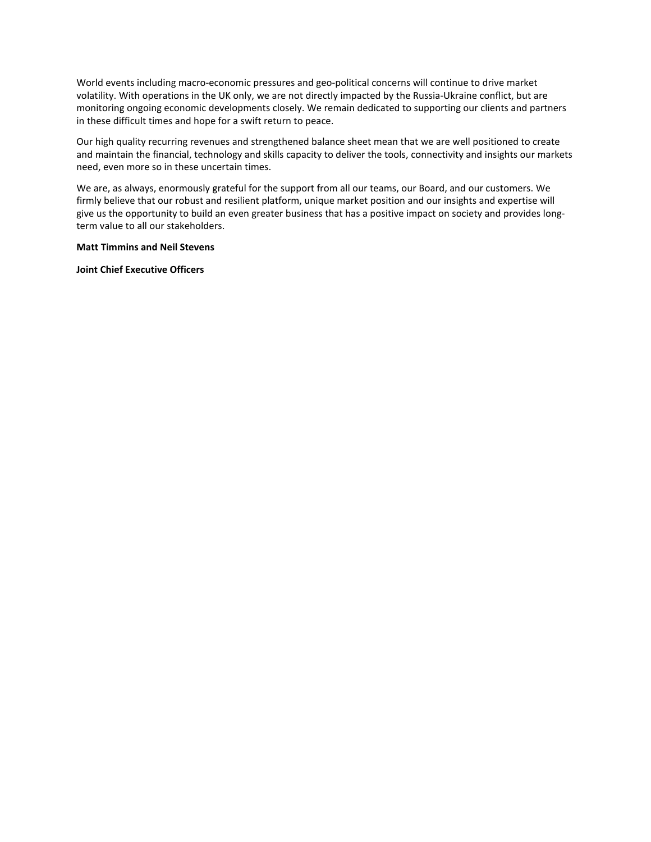World events including macro-economic pressures and geo-political concerns will continue to drive market volatility. With operations in the UK only, we are not directly impacted by the Russia-Ukraine conflict, but are monitoring ongoing economic developments closely. We remain dedicated to supporting our clients and partners in these difficult times and hope for a swift return to peace.

Our high quality recurring revenues and strengthened balance sheet mean that we are well positioned to create and maintain the financial, technology and skills capacity to deliver the tools, connectivity and insights our markets need, even more so in these uncertain times.

We are, as always, enormously grateful for the support from all our teams, our Board, and our customers. We firmly believe that our robust and resilient platform, unique market position and our insights and expertise will give us the opportunity to build an even greater business that has a positive impact on society and provides longterm value to all our stakeholders.

#### **Matt Timmins and Neil Stevens**

**Joint Chief Executive Officers**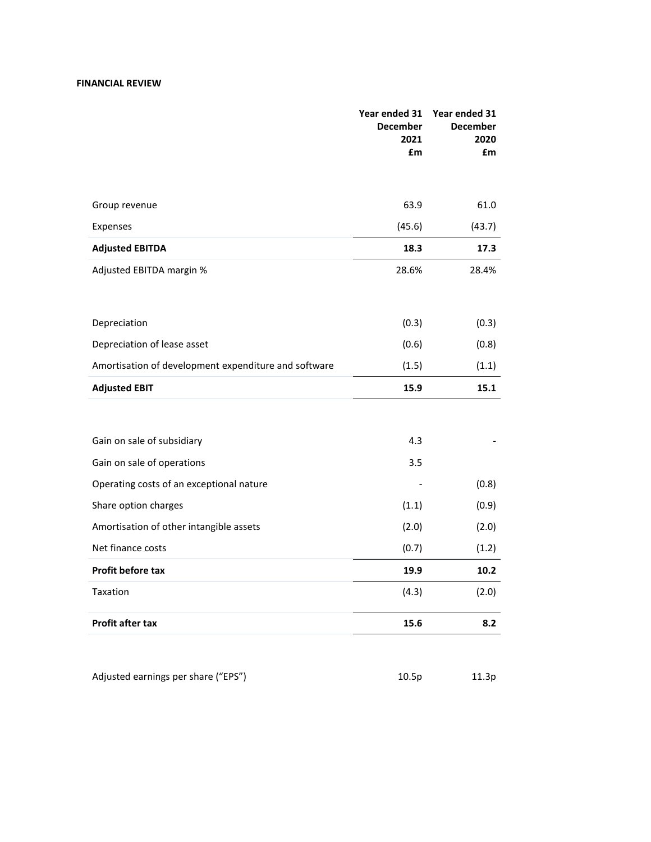# **FINANCIAL REVIEW**

|                                                      | Year ended 31<br><b>December</b><br>2021<br>£m | Year ended 31<br><b>December</b><br>2020<br>£m |
|------------------------------------------------------|------------------------------------------------|------------------------------------------------|
|                                                      |                                                |                                                |
| Group revenue                                        | 63.9                                           | 61.0                                           |
| Expenses                                             | (45.6)                                         | (43.7)                                         |
| <b>Adjusted EBITDA</b>                               | 18.3                                           | 17.3                                           |
| Adjusted EBITDA margin %                             | 28.6%                                          | 28.4%                                          |
|                                                      |                                                |                                                |
| Depreciation                                         | (0.3)                                          | (0.3)                                          |
| Depreciation of lease asset                          | (0.6)                                          | (0.8)                                          |
| Amortisation of development expenditure and software | (1.5)                                          | (1.1)                                          |
| <b>Adjusted EBIT</b>                                 | 15.9                                           | 15.1                                           |
|                                                      |                                                |                                                |
| Gain on sale of subsidiary                           | 4.3                                            |                                                |
| Gain on sale of operations                           | 3.5                                            |                                                |
| Operating costs of an exceptional nature             |                                                | (0.8)                                          |
| Share option charges                                 | (1.1)                                          | (0.9)                                          |
| Amortisation of other intangible assets              | (2.0)                                          | (2.0)                                          |
| Net finance costs                                    | (0.7)                                          | (1.2)                                          |
| <b>Profit before tax</b>                             | 19.9                                           | 10.2                                           |
| Taxation                                             | (4.3)                                          | (2.0)                                          |
| <b>Profit after tax</b>                              | 15.6                                           | 8.2                                            |
|                                                      |                                                |                                                |

| 10.5 <sub>p</sub> | 11.3p |
|-------------------|-------|
|                   |       |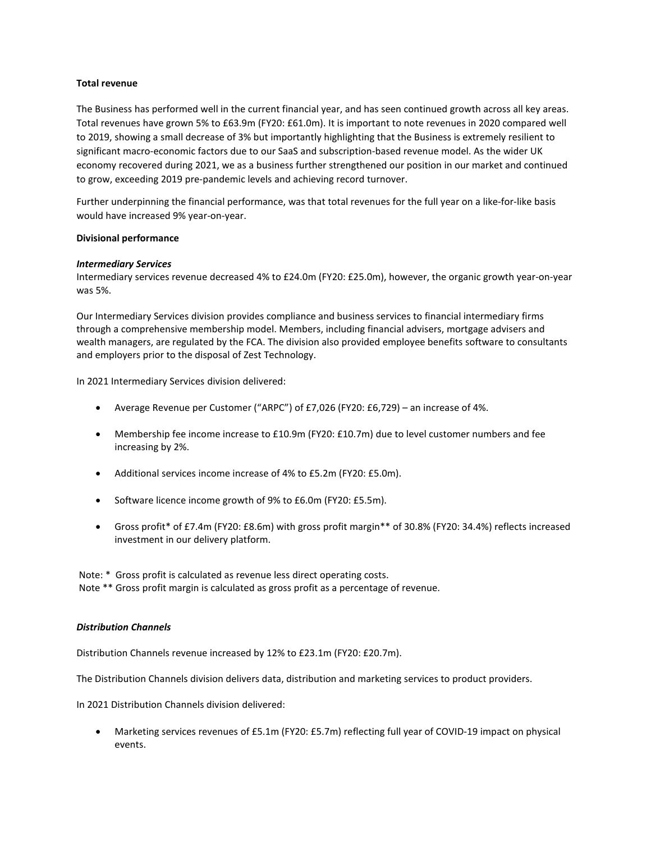### **Total revenue**

The Business has performed well in the current financial year, and has seen continued growth across all key areas. Total revenues have grown 5% to £63.9m (FY20: £61.0m). It is important to note revenues in 2020 compared well to 2019, showing a small decrease of 3% but importantly highlighting that the Business is extremely resilient to significant macro-economic factors due to our SaaS and subscription-based revenue model. As the wider UK economy recovered during 2021, we as a business further strengthened our position in our market and continued to grow, exceeding 2019 pre-pandemic levels and achieving record turnover.

Further underpinning the financial performance, was that total revenues for the full year on a like-for-like basis would have increased 9% year-on-year.

### **Divisional performance**

### *Intermediary Services*

Intermediary services revenue decreased 4% to £24.0m (FY20: £25.0m), however, the organic growth year-on-year was 5%.

Our Intermediary Services division provides compliance and business services to financial intermediary firms through a comprehensive membership model. Members, including financial advisers, mortgage advisers and wealth managers, are regulated by the FCA. The division also provided employee benefits software to consultants and employers prior to the disposal of Zest Technology.

In 2021 Intermediary Services division delivered:

- Average Revenue per Customer ("ARPC") of £7,026 (FY20: £6,729) an increase of 4%.
- Membership fee income increase to £10.9m (FY20: £10.7m) due to level customer numbers and fee increasing by 2%.
- Additional services income increase of 4% to £5.2m (FY20: £5.0m).
- Software licence income growth of 9% to £6.0m (FY20: £5.5m).
- Gross profit\* of £7.4m (FY20: £8.6m) with gross profit margin\*\* of 30.8% (FY20: 34.4%) reflects increased investment in our delivery platform.

Note: \* Gross profit is calculated as revenue less direct operating costs. Note \*\* Gross profit margin is calculated as gross profit as a percentage of revenue.

### *Distribution Channels*

Distribution Channels revenue increased by 12% to £23.1m (FY20: £20.7m).

The Distribution Channels division delivers data, distribution and marketing services to product providers.

In 2021 Distribution Channels division delivered:

• Marketing services revenues of £5.1m (FY20: £5.7m) reflecting full year of COVID-19 impact on physical events.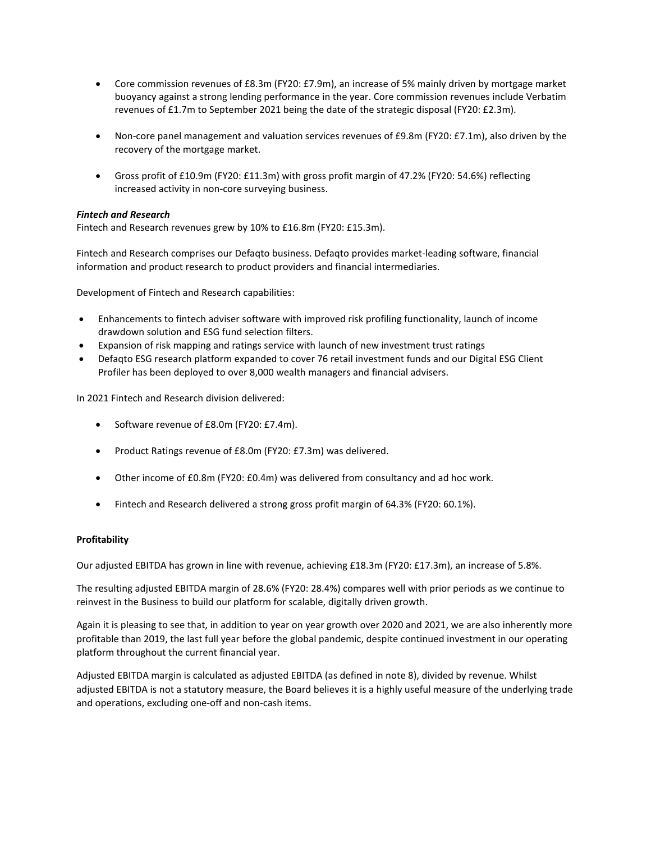- Core commission revenues of £8.3m (FY20: £7.9m), an increase of 5% mainly driven by mortgage market buoyancy against a strong lending performance in the year. Core commission revenues include Verbatim revenues of £1.7m to September 2021 being the date of the strategic disposal (FY20: £2.3m).
- Non-core panel management and valuation services revenues of £9.8m (FY20: £7.1m), also driven by the recovery of the mortgage market.
- Gross profit of £10.9m (FY20: £11.3m) with gross profit margin of 47.2% (FY20: 54.6%) reflecting increased activity in non-core surveying business.

# *Fintech and Research*

Fintech and Research revenues grew by 10% to £16.8m (FY20: £15.3m).

Fintech and Research comprises our Defaqto business. Defaqto provides market-leading software, financial information and product research to product providers and financial intermediaries.

Development of Fintech and Research capabilities:

- Enhancements to fintech adviser software with improved risk profiling functionality, launch of income drawdown solution and ESG fund selection filters.
- Expansion of risk mapping and ratings service with launch of new investment trust ratings
- Defaqto ESG research platform expanded to cover 76 retail investment funds and our Digital ESG Client Profiler has been deployed to over 8,000 wealth managers and financial advisers.

In 2021 Fintech and Research division delivered:

- Software revenue of £8.0m (FY20: £7.4m).
- Product Ratings revenue of £8.0m (FY20: £7.3m) was delivered.
- Other income of £0.8m (FY20: £0.4m) was delivered from consultancy and ad hoc work.
- Fintech and Research delivered a strong gross profit margin of 64.3% (FY20: 60.1%).

### **Profitability**

Our adjusted EBITDA has grown in line with revenue, achieving £18.3m (FY20: £17.3m), an increase of 5.8%.

The resulting adjusted EBITDA margin of 28.6% (FY20: 28.4%) compares well with prior periods as we continue to reinvest in the Business to build our platform for scalable, digitally driven growth.

Again it is pleasing to see that, in addition to year on year growth over 2020 and 2021, we are also inherently more profitable than 2019, the last full year before the global pandemic, despite continued investment in our operating platform throughout the current financial year.

Adjusted EBITDA margin is calculated as adjusted EBITDA (as defined in note 8), divided by revenue. Whilst adjusted EBITDA is not a statutory measure, the Board believes it is a highly useful measure of the underlying trade and operations, excluding one-off and non-cash items.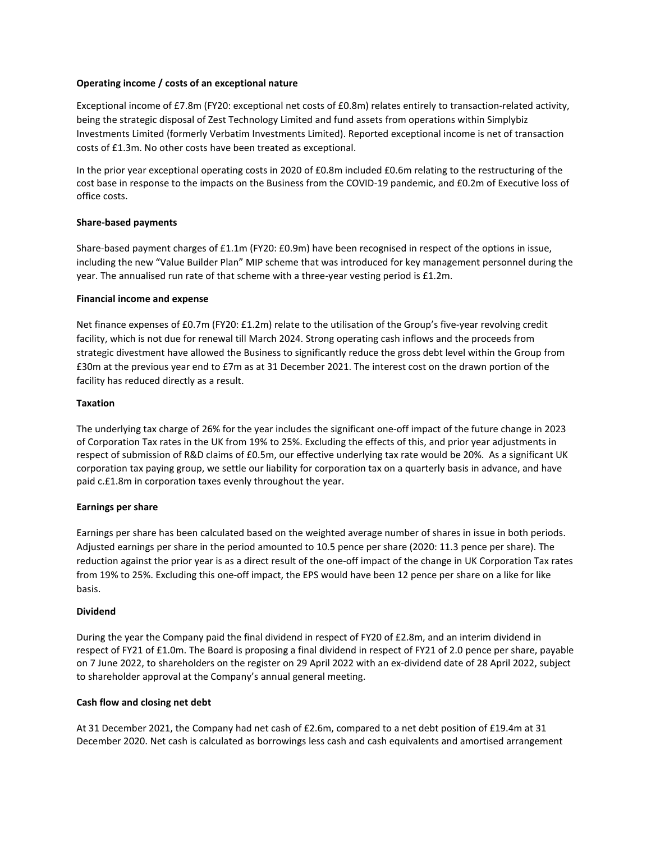### **Operating income / costs of an exceptional nature**

Exceptional income of £7.8m (FY20: exceptional net costs of £0.8m) relates entirely to transaction-related activity, being the strategic disposal of Zest Technology Limited and fund assets from operations within Simplybiz Investments Limited (formerly Verbatim Investments Limited). Reported exceptional income is net of transaction costs of £1.3m. No other costs have been treated as exceptional.

In the prior year exceptional operating costs in 2020 of £0.8m included £0.6m relating to the restructuring of the cost base in response to the impacts on the Business from the COVID-19 pandemic, and £0.2m of Executive loss of office costs.

# **Share-based payments**

Share-based payment charges of £1.1m (FY20: £0.9m) have been recognised in respect of the options in issue, including the new "Value Builder Plan" MIP scheme that was introduced for key management personnel during the year. The annualised run rate of that scheme with a three-year vesting period is £1.2m.

# **Financial income and expense**

Net finance expenses of £0.7m (FY20: £1.2m) relate to the utilisation of the Group's five-year revolving credit facility, which is not due for renewal till March 2024. Strong operating cash inflows and the proceeds from strategic divestment have allowed the Business to significantly reduce the gross debt level within the Group from £30m at the previous year end to £7m as at 31 December 2021. The interest cost on the drawn portion of the facility has reduced directly as a result.

### **Taxation**

The underlying tax charge of 26% for the year includes the significant one-off impact of the future change in 2023 of Corporation Tax rates in the UK from 19% to 25%. Excluding the effects of this, and prior year adjustments in respect of submission of R&D claims of £0.5m, our effective underlying tax rate would be 20%. As a significant UK corporation tax paying group, we settle our liability for corporation tax on a quarterly basis in advance, and have paid c.£1.8m in corporation taxes evenly throughout the year.

### **Earnings per share**

Earnings per share has been calculated based on the weighted average number of shares in issue in both periods. Adjusted earnings per share in the period amounted to 10.5 pence per share (2020: 11.3 pence per share). The reduction against the prior year is as a direct result of the one-off impact of the change in UK Corporation Tax rates from 19% to 25%. Excluding this one-off impact, the EPS would have been 12 pence per share on a like for like basis.

### **Dividend**

During the year the Company paid the final dividend in respect of FY20 of £2.8m, and an interim dividend in respect of FY21 of £1.0m. The Board is proposing a final dividend in respect of FY21 of 2.0 pence per share, payable on 7 June 2022, to shareholders on the register on 29 April 2022 with an ex-dividend date of 28 April 2022, subject to shareholder approval at the Company's annual general meeting.

# **Cash flow and closing net debt**

At 31 December 2021, the Company had net cash of £2.6m, compared to a net debt position of £19.4m at 31 December 2020. Net cash is calculated as borrowings less cash and cash equivalents and amortised arrangement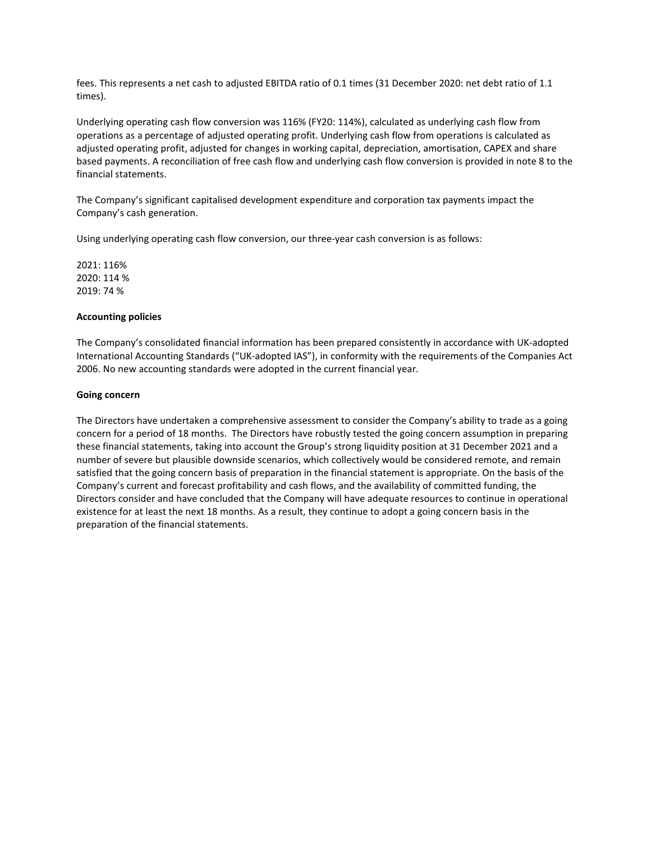fees. This represents a net cash to adjusted EBITDA ratio of 0.1 times (31 December 2020: net debt ratio of 1.1 times).

Underlying operating cash flow conversion was 116% (FY20: 114%), calculated as underlying cash flow from operations as a percentage of adjusted operating profit. Underlying cash flow from operations is calculated as adjusted operating profit, adjusted for changes in working capital, depreciation, amortisation, CAPEX and share based payments. A reconciliation of free cash flow and underlying cash flow conversion is provided in note 8 to the financial statements.

The Company's significant capitalised development expenditure and corporation tax payments impact the Company's cash generation.

Using underlying operating cash flow conversion, our three-year cash conversion is as follows:

2021: 116% 2020: 114 % 2019: 74 %

### **Accounting policies**

The Company's consolidated financial information has been prepared consistently in accordance with UK-adopted International Accounting Standards ("UK-adopted IAS"), in conformity with the requirements of the Companies Act 2006. No new accounting standards were adopted in the current financial year.

# **Going concern**

The Directors have undertaken a comprehensive assessment to consider the Company's ability to trade as a going concern for a period of 18 months. The Directors have robustly tested the going concern assumption in preparing these financial statements, taking into account the Group's strong liquidity position at 31 December 2021 and a number of severe but plausible downside scenarios, which collectively would be considered remote, and remain satisfied that the going concern basis of preparation in the financial statement is appropriate. On the basis of the Company's current and forecast profitability and cash flows, and the availability of committed funding, the Directors consider and have concluded that the Company will have adequate resources to continue in operational existence for at least the next 18 months. As a result, they continue to adopt a going concern basis in the preparation of the financial statements.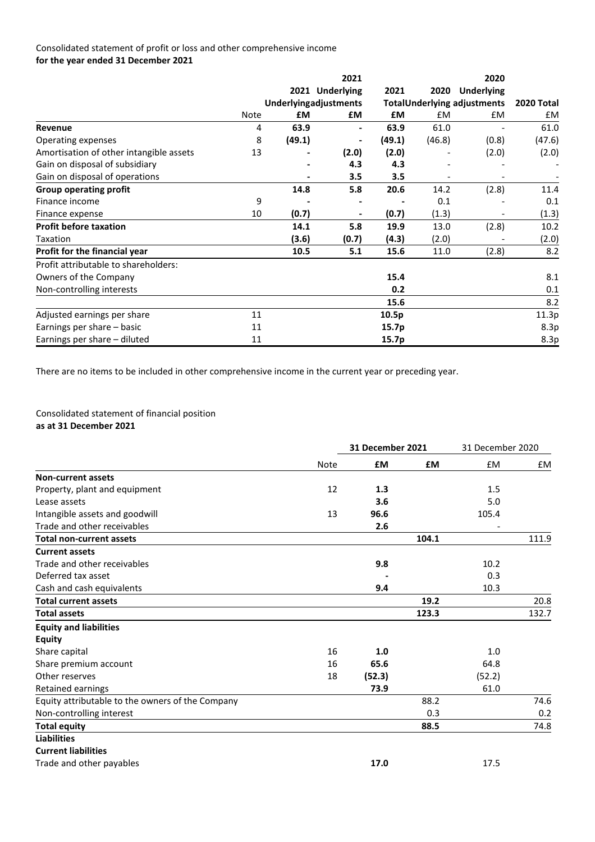# Consolidated statement of profit or loss and other comprehensive income **for the year ended 31 December 2021**

|                                         |      |                       | 2021            |        |           | 2020                               |            |
|-----------------------------------------|------|-----------------------|-----------------|--------|-----------|------------------------------------|------------|
|                                         |      |                       | 2021 Underlying | 2021   | 2020      | <b>Underlying</b>                  |            |
|                                         |      | Underlyingadjustments |                 |        |           | <b>TotalUnderlying adjustments</b> | 2020 Total |
|                                         | Note | <b>£M</b>             | £М              | £М     | <b>£M</b> | £M                                 | £M         |
| Revenue                                 | 4    | 63.9                  | -               | 63.9   | 61.0      |                                    | 61.0       |
| Operating expenses                      | 8    | (49.1)                | -               | (49.1) | (46.8)    | (0.8)                              | (47.6)     |
| Amortisation of other intangible assets | 13   |                       | (2.0)           | (2.0)  |           | (2.0)                              | (2.0)      |
| Gain on disposal of subsidiary          |      |                       | 4.3             | 4.3    |           |                                    |            |
| Gain on disposal of operations          |      |                       | 3.5             | 3.5    |           |                                    |            |
| <b>Group operating profit</b>           |      | 14.8                  | 5.8             | 20.6   | 14.2      | (2.8)                              | 11.4       |
| Finance income                          | 9    |                       |                 |        | 0.1       |                                    | 0.1        |
| Finance expense                         | 10   | (0.7)                 | $\blacksquare$  | (0.7)  | (1.3)     | $\overline{\phantom{0}}$           | (1.3)      |
| <b>Profit before taxation</b>           |      | 14.1                  | 5.8             | 19.9   | 13.0      | (2.8)                              | 10.2       |
| Taxation                                |      | (3.6)                 | (0.7)           | (4.3)  | (2.0)     |                                    | (2.0)      |
| Profit for the financial year           |      | 10.5                  | 5.1             | 15.6   | 11.0      | (2.8)                              | 8.2        |
| Profit attributable to shareholders:    |      |                       |                 |        |           |                                    |            |
| Owners of the Company                   |      |                       |                 | 15.4   |           |                                    | 8.1        |
| Non-controlling interests               |      |                       |                 | 0.2    |           |                                    | 0.1        |
|                                         |      |                       |                 | 15.6   |           |                                    | 8.2        |
| Adjusted earnings per share             | 11   |                       |                 | 10.5p  |           |                                    | 11.3p      |
| Earnings per share - basic              | 11   |                       |                 | 15.7p  |           |                                    | 8.3p       |
| Earnings per share - diluted            | 11   |                       |                 | 15.7p  |           |                                    | 8.3p       |

There are no items to be included in other comprehensive income in the current year or preceding year.

# Consolidated statement of financial position **as at 31 December 2021**

|                                                  |             | <b>31 December 2021</b> |           | 31 December 2020 |       |
|--------------------------------------------------|-------------|-------------------------|-----------|------------------|-------|
|                                                  | <b>Note</b> | £M                      | <b>£M</b> | £M               | £M    |
| <b>Non-current assets</b>                        |             |                         |           |                  |       |
| Property, plant and equipment                    | 12          | 1.3                     |           | 1.5              |       |
| Lease assets                                     |             | 3.6                     |           | 5.0              |       |
| Intangible assets and goodwill                   | 13          | 96.6                    |           | 105.4            |       |
| Trade and other receivables                      |             | 2.6                     |           |                  |       |
| <b>Total non-current assets</b>                  |             |                         | 104.1     |                  | 111.9 |
| <b>Current assets</b>                            |             |                         |           |                  |       |
| Trade and other receivables                      |             | 9.8                     |           | 10.2             |       |
| Deferred tax asset                               |             |                         |           | 0.3              |       |
| Cash and cash equivalents                        |             | 9.4                     |           | 10.3             |       |
| <b>Total current assets</b>                      |             |                         | 19.2      |                  | 20.8  |
| <b>Total assets</b>                              |             |                         | 123.3     |                  | 132.7 |
| <b>Equity and liabilities</b>                    |             |                         |           |                  |       |
| <b>Equity</b>                                    |             |                         |           |                  |       |
| Share capital                                    | 16          | 1.0                     |           | 1.0              |       |
| Share premium account                            | 16          | 65.6                    |           | 64.8             |       |
| Other reserves                                   | 18          | (52.3)                  |           | (52.2)           |       |
| Retained earnings                                |             | 73.9                    |           | 61.0             |       |
| Equity attributable to the owners of the Company |             |                         | 88.2      |                  | 74.6  |
| Non-controlling interest                         |             |                         | 0.3       |                  | 0.2   |
| <b>Total equity</b>                              |             |                         | 88.5      |                  | 74.8  |
| <b>Liabilities</b>                               |             |                         |           |                  |       |
| <b>Current liabilities</b>                       |             |                         |           |                  |       |
| Trade and other payables                         |             | 17.0                    |           | 17.5             |       |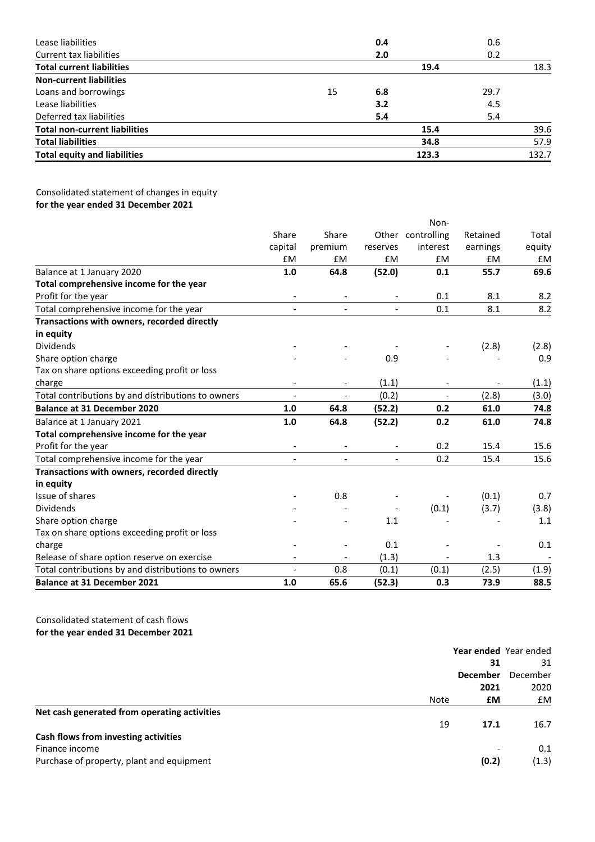| Lease liabilities                    |      | 0.4 |       | 0.6  |       |
|--------------------------------------|------|-----|-------|------|-------|
| Current tax liabilities              |      | 2.0 |       | 0.2  |       |
| <b>Total current liabilities</b>     | 19.4 |     |       | 18.3 |       |
| <b>Non-current liabilities</b>       |      |     |       |      |       |
| Loans and borrowings                 | 15   | 6.8 |       | 29.7 |       |
| Lease liabilities                    |      | 3.2 |       | 4.5  |       |
| Deferred tax liabilities             |      | 5.4 |       | 5.4  |       |
| <b>Total non-current liabilities</b> | 15.4 |     |       | 39.6 |       |
| <b>Total liabilities</b>             |      |     | 34.8  |      | 57.9  |
| <b>Total equity and liabilities</b>  |      |     | 123.3 |      | 132.7 |

# Consolidated statement of changes in equity **for the year ended 31 December 2021**

|                                                    |                          |                          |                          | Non-                     |           |        |
|----------------------------------------------------|--------------------------|--------------------------|--------------------------|--------------------------|-----------|--------|
|                                                    | Share                    | Share                    |                          | Other controlling        | Retained  | Total  |
|                                                    | capital                  | premium                  | reserves                 | interest                 | earnings  | equity |
|                                                    | £M                       | £M                       | <b>fM</b>                | £M                       | <b>fM</b> | £M     |
| Balance at 1 January 2020                          | 1.0                      | 64.8                     | (52.0)                   | 0.1                      | 55.7      | 69.6   |
| Total comprehensive income for the year            |                          |                          |                          |                          |           |        |
| Profit for the year                                |                          |                          |                          | 0.1                      | 8.1       | 8.2    |
| Total comprehensive income for the year            |                          |                          | $\overline{\phantom{0}}$ | 0.1                      | 8.1       | 8.2    |
| Transactions with owners, recorded directly        |                          |                          |                          |                          |           |        |
| in equity                                          |                          |                          |                          |                          |           |        |
| <b>Dividends</b>                                   |                          |                          |                          |                          | (2.8)     | (2.8)  |
| Share option charge                                |                          |                          | 0.9                      |                          |           | 0.9    |
| Tax on share options exceeding profit or loss      |                          |                          |                          |                          |           |        |
| charge                                             |                          | $\overline{\phantom{a}}$ | (1.1)                    |                          |           | (1.1)  |
| Total contributions by and distributions to owners | $\overline{\phantom{a}}$ | $\overline{\phantom{a}}$ | (0.2)                    | $\overline{\phantom{a}}$ | (2.8)     | (3.0)  |
| <b>Balance at 31 December 2020</b>                 | 1.0                      | 64.8                     | (52.2)                   | 0.2                      | 61.0      | 74.8   |
| Balance at 1 January 2021                          | 1.0                      | 64.8                     | (52.2)                   | 0.2                      | 61.0      | 74.8   |
| Total comprehensive income for the year            |                          |                          |                          |                          |           |        |
| Profit for the year                                |                          |                          |                          | 0.2                      | 15.4      | 15.6   |
| Total comprehensive income for the year            |                          |                          | $\overline{a}$           | 0.2                      | 15.4      | 15.6   |
| Transactions with owners, recorded directly        |                          |                          |                          |                          |           |        |
| in equity                                          |                          |                          |                          |                          |           |        |
| Issue of shares                                    |                          | 0.8                      |                          |                          | (0.1)     | 0.7    |
| <b>Dividends</b>                                   |                          |                          |                          | (0.1)                    | (3.7)     | (3.8)  |
| Share option charge                                |                          |                          | 1.1                      |                          |           | 1.1    |
| Tax on share options exceeding profit or loss      |                          |                          |                          |                          |           |        |
| charge                                             |                          |                          | 0.1                      |                          |           | 0.1    |
| Release of share option reserve on exercise        |                          |                          | (1.3)                    |                          | 1.3       |        |
| Total contributions by and distributions to owners |                          | 0.8                      | (0.1)                    | (0.1)                    | (2.5)     | (1.9)  |
| <b>Balance at 31 December 2021</b>                 | 1.0                      | 65.6                     | (52.3)                   | 0.3                      | 73.9      | 88.5   |

Consolidated statement of cash flows **for the year ended 31 December 2021**

|                                              |      | Year ended Year ended |          |
|----------------------------------------------|------|-----------------------|----------|
|                                              |      | 31                    | 31       |
|                                              |      | <b>December</b>       | December |
|                                              |      | 2021                  | 2020     |
|                                              | Note | £М                    | £M       |
| Net cash generated from operating activities |      |                       |          |
|                                              | 19   | 17.1                  | 16.7     |
| Cash flows from investing activities         |      |                       |          |
| Finance income                               |      |                       | 0.1      |
| Purchase of property, plant and equipment    |      | (0.2)                 | (1.3)    |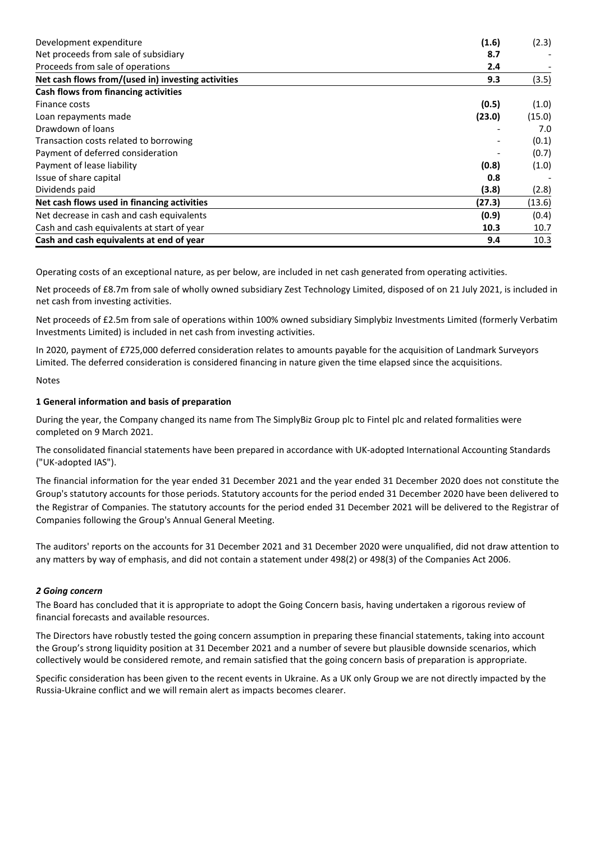| Development expenditure                            | (1.6)  | (2.3)  |
|----------------------------------------------------|--------|--------|
| Net proceeds from sale of subsidiary               | 8.7    |        |
| Proceeds from sale of operations                   | 2.4    |        |
| Net cash flows from/(used in) investing activities | 9.3    | (3.5)  |
| Cash flows from financing activities               |        |        |
| Finance costs                                      | (0.5)  | (1.0)  |
| Loan repayments made                               | (23.0) | (15.0) |
| Drawdown of loans                                  |        | 7.0    |
| Transaction costs related to borrowing             |        | (0.1)  |
| Payment of deferred consideration                  |        | (0.7)  |
| Payment of lease liability                         | (0.8)  | (1.0)  |
| Issue of share capital                             | 0.8    |        |
| Dividends paid                                     | (3.8)  | (2.8)  |
| Net cash flows used in financing activities        | (27.3) | (13.6) |
| Net decrease in cash and cash equivalents          | (0.9)  | (0.4)  |
| Cash and cash equivalents at start of year         | 10.3   | 10.7   |
| Cash and cash equivalents at end of year           | 9.4    | 10.3   |

Operating costs of an exceptional nature, as per below, are included in net cash generated from operating activities.

Net proceeds of £8.7m from sale of wholly owned subsidiary Zest Technology Limited, disposed of on 21 July 2021, is included in net cash from investing activities.

Net proceeds of £2.5m from sale of operations within 100% owned subsidiary Simplybiz Investments Limited (formerly Verbatim Investments Limited) is included in net cash from investing activities.

In 2020, payment of £725,000 deferred consideration relates to amounts payable for the acquisition of Landmark Surveyors Limited. The deferred consideration is considered financing in nature given the time elapsed since the acquisitions.

# Notes

# **1 General information and basis of preparation**

During the year, the Company changed its name from The SimplyBiz Group plc to Fintel plc and related formalities were completed on 9 March 2021.

The consolidated financial statements have been prepared in accordance with UK-adopted International Accounting Standards ("UK-adopted IAS").

The financial information for the year ended 31 December 2021 and the year ended 31 December 2020 does not constitute the Group's statutory accounts for those periods. Statutory accounts for the period ended 31 December 2020 have been delivered to the Registrar of Companies. The statutory accounts for the period ended 31 December 2021 will be delivered to the Registrar of Companies following the Group's Annual General Meeting.

The auditors' reports on the accounts for 31 December 2021 and 31 December 2020 were unqualified, did not draw attention to any matters by way of emphasis, and did not contain a statement under 498(2) or 498(3) of the Companies Act 2006.

# *2 Going concern*

The Board has concluded that it is appropriate to adopt the Going Concern basis, having undertaken a rigorous review of financial forecasts and available resources.

The Directors have robustly tested the going concern assumption in preparing these financial statements, taking into account the Group's strong liquidity position at 31 December 2021 and a number of severe but plausible downside scenarios, which collectively would be considered remote, and remain satisfied that the going concern basis of preparation is appropriate.

Specific consideration has been given to the recent events in Ukraine. As a UK only Group we are not directly impacted by the Russia-Ukraine conflict and we will remain alert as impacts becomes clearer.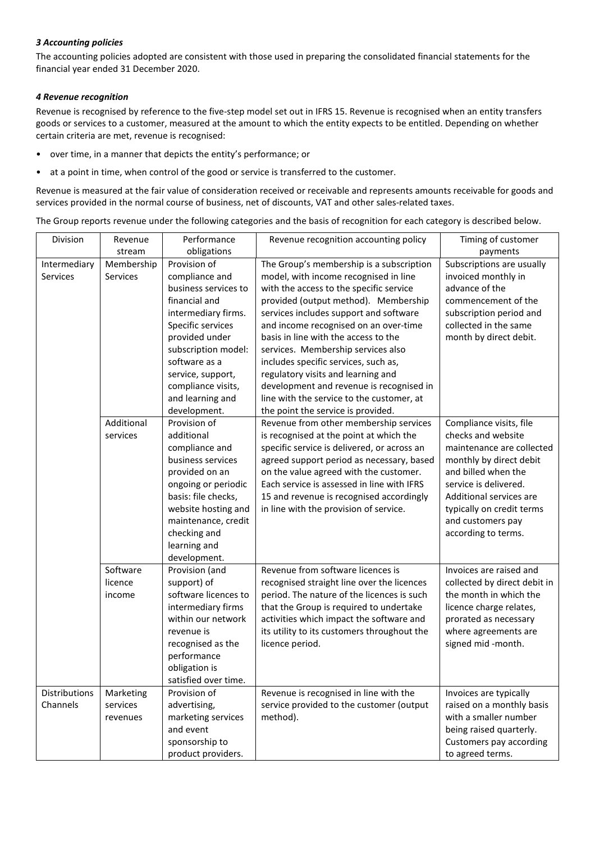# *3 Accounting policies*

The accounting policies adopted are consistent with those used in preparing the consolidated financial statements for the financial year ended 31 December 2020.

# *4 Revenue recognition*

Revenue is recognised by reference to the five-step model set out in IFRS 15. Revenue is recognised when an entity transfers goods or services to a customer, measured at the amount to which the entity expects to be entitled. Depending on whether certain criteria are met, revenue is recognised:

- over time, in a manner that depicts the entity's performance; or
- at a point in time, when control of the good or service is transferred to the customer.

Revenue is measured at the fair value of consideration received or receivable and represents amounts receivable for goods and services provided in the normal course of business, net of discounts, VAT and other sales-related taxes.

The Group reports revenue under the following categories and the basis of recognition for each category is described below.

| Division      | Revenue    | Performance          | Revenue recognition accounting policy       | Timing of customer           |
|---------------|------------|----------------------|---------------------------------------------|------------------------------|
|               | stream     | obligations          |                                             | payments                     |
| Intermediary  | Membership | Provision of         | The Group's membership is a subscription    | Subscriptions are usually    |
| Services      | Services   | compliance and       | model, with income recognised in line       | invoiced monthly in          |
|               |            | business services to | with the access to the specific service     | advance of the               |
|               |            | financial and        | provided (output method). Membership        | commencement of the          |
|               |            | intermediary firms.  | services includes support and software      | subscription period and      |
|               |            | Specific services    | and income recognised on an over-time       | collected in the same        |
|               |            | provided under       | basis in line with the access to the        | month by direct debit.       |
|               |            | subscription model:  | services. Membership services also          |                              |
|               |            | software as a        | includes specific services, such as,        |                              |
|               |            | service, support,    | regulatory visits and learning and          |                              |
|               |            | compliance visits,   | development and revenue is recognised in    |                              |
|               |            | and learning and     | line with the service to the customer, at   |                              |
|               |            | development.         | the point the service is provided.          |                              |
|               | Additional | Provision of         | Revenue from other membership services      | Compliance visits, file      |
|               | services   | additional           | is recognised at the point at which the     | checks and website           |
|               |            | compliance and       | specific service is delivered, or across an | maintenance are collected    |
|               |            | business services    | agreed support period as necessary, based   | monthly by direct debit      |
|               |            | provided on an       | on the value agreed with the customer.      | and billed when the          |
|               |            | ongoing or periodic  | Each service is assessed in line with IFRS  | service is delivered.        |
|               |            | basis: file checks,  | 15 and revenue is recognised accordingly    | Additional services are      |
|               |            | website hosting and  | in line with the provision of service.      | typically on credit terms    |
|               |            | maintenance, credit  |                                             | and customers pay            |
|               |            | checking and         |                                             | according to terms.          |
|               |            | learning and         |                                             |                              |
|               |            | development.         |                                             |                              |
|               | Software   | Provision (and       | Revenue from software licences is           | Invoices are raised and      |
|               | licence    | support) of          | recognised straight line over the licences  | collected by direct debit in |
|               | income     | software licences to | period. The nature of the licences is such  | the month in which the       |
|               |            | intermediary firms   | that the Group is required to undertake     | licence charge relates,      |
|               |            | within our network   | activities which impact the software and    | prorated as necessary        |
|               |            | revenue is           | its utility to its customers throughout the | where agreements are         |
|               |            | recognised as the    | licence period.                             | signed mid -month.           |
|               |            | performance          |                                             |                              |
|               |            | obligation is        |                                             |                              |
|               |            | satisfied over time. |                                             |                              |
| Distributions | Marketing  | Provision of         | Revenue is recognised in line with the      | Invoices are typically       |
| Channels      | services   | advertising,         | service provided to the customer (output    | raised on a monthly basis    |
|               | revenues   | marketing services   | method).                                    | with a smaller number        |
|               |            | and event            |                                             | being raised quarterly.      |
|               |            | sponsorship to       |                                             | Customers pay according      |
|               |            | product providers.   |                                             | to agreed terms.             |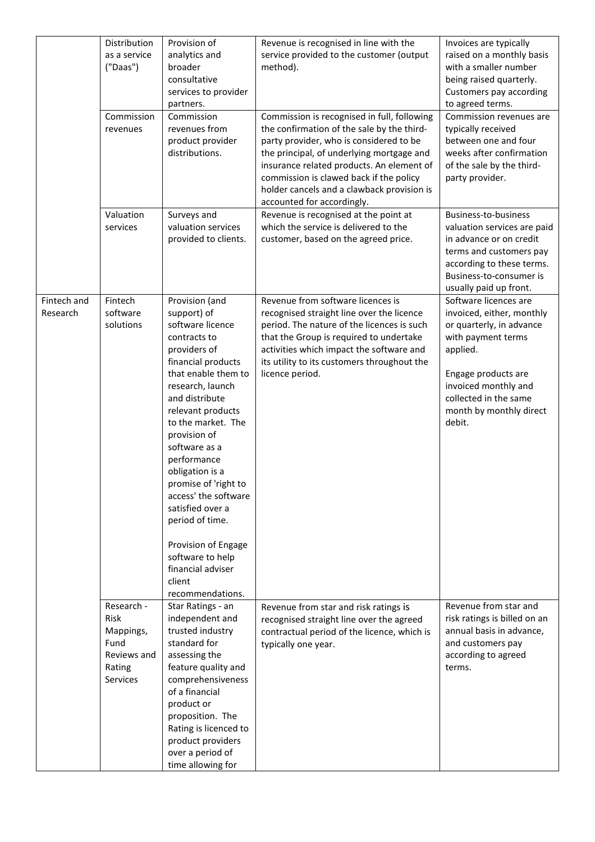|                         | Distribution<br>as a service<br>("Daas")<br>Commission<br>revenues           | Provision of<br>analytics and<br>broader<br>consultative<br>services to provider<br>partners.<br>Commission<br>revenues from<br>product provider<br>distributions.                                                                                                                                                                                                                                                                                            | Revenue is recognised in line with the<br>service provided to the customer (output<br>method).<br>Commission is recognised in full, following<br>the confirmation of the sale by the third-<br>party provider, who is considered to be<br>the principal, of underlying mortgage and<br>insurance related products. An element of<br>commission is clawed back if the policy<br>holder cancels and a clawback provision is<br>accounted for accordingly. | Invoices are typically<br>raised on a monthly basis<br>with a smaller number<br>being raised quarterly.<br>Customers pay according<br>to agreed terms.<br>Commission revenues are<br>typically received<br>between one and four<br>weeks after confirmation<br>of the sale by the third-<br>party provider. |
|-------------------------|------------------------------------------------------------------------------|---------------------------------------------------------------------------------------------------------------------------------------------------------------------------------------------------------------------------------------------------------------------------------------------------------------------------------------------------------------------------------------------------------------------------------------------------------------|---------------------------------------------------------------------------------------------------------------------------------------------------------------------------------------------------------------------------------------------------------------------------------------------------------------------------------------------------------------------------------------------------------------------------------------------------------|-------------------------------------------------------------------------------------------------------------------------------------------------------------------------------------------------------------------------------------------------------------------------------------------------------------|
|                         | Valuation<br>services                                                        | Surveys and<br>valuation services<br>provided to clients.                                                                                                                                                                                                                                                                                                                                                                                                     | Revenue is recognised at the point at<br>which the service is delivered to the<br>customer, based on the agreed price.                                                                                                                                                                                                                                                                                                                                  | Business-to-business<br>valuation services are paid<br>in advance or on credit<br>terms and customers pay<br>according to these terms.<br>Business-to-consumer is<br>usually paid up front.                                                                                                                 |
| Fintech and<br>Research | Fintech<br>software<br>solutions<br>client                                   | Provision (and<br>support) of<br>software licence<br>contracts to<br>providers of<br>financial products<br>that enable them to<br>research, launch<br>and distribute<br>relevant products<br>to the market. The<br>provision of<br>software as a<br>performance<br>obligation is a<br>promise of 'right to<br>access' the software<br>satisfied over a<br>period of time.<br>Provision of Engage<br>software to help<br>financial adviser<br>recommendations. | Revenue from software licences is<br>recognised straight line over the licence<br>period. The nature of the licences is such<br>that the Group is required to undertake<br>activities which impact the software and<br>its utility to its customers throughout the<br>licence period.                                                                                                                                                                   | Software licences are<br>invoiced, either, monthly<br>or quarterly, in advance<br>with payment terms<br>applied.<br>Engage products are<br>invoiced monthly and<br>collected in the same<br>month by monthly direct<br>debit.                                                                               |
|                         | Research -<br>Risk<br>Mappings,<br>Fund<br>Reviews and<br>Rating<br>Services | Star Ratings - an<br>independent and<br>trusted industry<br>standard for<br>assessing the<br>feature quality and<br>comprehensiveness<br>of a financial<br>product or<br>proposition. The<br>Rating is licenced to<br>product providers<br>over a period of<br>time allowing for                                                                                                                                                                              | Revenue from star and risk ratings is<br>recognised straight line over the agreed<br>contractual period of the licence, which is<br>typically one year.                                                                                                                                                                                                                                                                                                 | Revenue from star and<br>risk ratings is billed on an<br>annual basis in advance,<br>and customers pay<br>according to agreed<br>terms.                                                                                                                                                                     |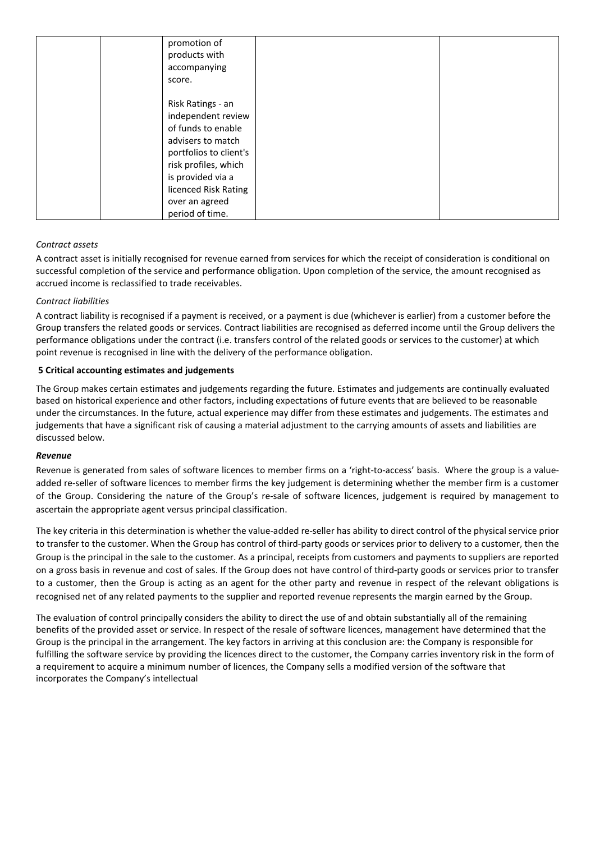| promotion of           |
|------------------------|
| products with          |
| accompanying           |
| score.                 |
|                        |
| Risk Ratings - an      |
| independent review     |
| of funds to enable     |
| advisers to match      |
| portfolios to client's |
| risk profiles, which   |
| is provided via a      |
| licenced Risk Rating   |
| over an agreed         |
|                        |
| period of time.        |

# *Contract assets*

A contract asset is initially recognised for revenue earned from services for which the receipt of consideration is conditional on successful completion of the service and performance obligation. Upon completion of the service, the amount recognised as accrued income is reclassified to trade receivables.

# *Contract liabilities*

A contract liability is recognised if a payment is received, or a payment is due (whichever is earlier) from a customer before the Group transfers the related goods or services. Contract liabilities are recognised as deferred income until the Group delivers the performance obligations under the contract (i.e. transfers control of the related goods or services to the customer) at which point revenue is recognised in line with the delivery of the performance obligation.

# **5 Critical accounting estimates and judgements**

The Group makes certain estimates and judgements regarding the future. Estimates and judgements are continually evaluated based on historical experience and other factors, including expectations of future events that are believed to be reasonable under the circumstances. In the future, actual experience may differ from these estimates and judgements. The estimates and judgements that have a significant risk of causing a material adjustment to the carrying amounts of assets and liabilities are discussed below.

# *Revenue*

Revenue is generated from sales of software licences to member firms on a 'right-to-access' basis. Where the group is a valueadded re-seller of software licences to member firms the key judgement is determining whether the member firm is a customer of the Group. Considering the nature of the Group's re-sale of software licences, judgement is required by management to ascertain the appropriate agent versus principal classification.

The key criteria in this determination is whether the value-added re-seller has ability to direct control of the physical service prior to transfer to the customer. When the Group has control of third-party goods or services prior to delivery to a customer, then the Group is the principal in the sale to the customer. As a principal, receipts from customers and payments to suppliers are reported on a gross basis in revenue and cost of sales. If the Group does not have control of third-party goods or services prior to transfer to a customer, then the Group is acting as an agent for the other party and revenue in respect of the relevant obligations is recognised net of any related payments to the supplier and reported revenue represents the margin earned by the Group.

The evaluation of control principally considers the ability to direct the use of and obtain substantially all of the remaining benefits of the provided asset or service. In respect of the resale of software licences, management have determined that the Group is the principal in the arrangement. The key factors in arriving at this conclusion are: the Company is responsible for fulfilling the software service by providing the licences direct to the customer, the Company carries inventory risk in the form of a requirement to acquire a minimum number of licences, the Company sells a modified version of the software that incorporates the Company's intellectual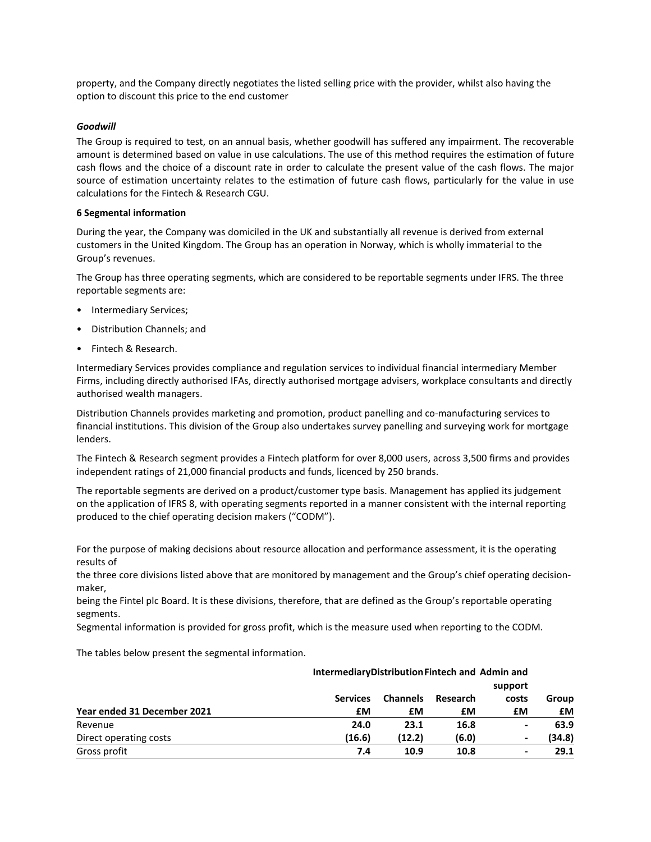property, and the Company directly negotiates the listed selling price with the provider, whilst also having the option to discount this price to the end customer

### *Goodwill*

The Group is required to test, on an annual basis, whether goodwill has suffered any impairment. The recoverable amount is determined based on value in use calculations. The use of this method requires the estimation of future cash flows and the choice of a discount rate in order to calculate the present value of the cash flows. The major source of estimation uncertainty relates to the estimation of future cash flows, particularly for the value in use calculations for the Fintech & Research CGU.

# **6 Segmental information**

During the year, the Company was domiciled in the UK and substantially all revenue is derived from external customers in the United Kingdom. The Group has an operation in Norway, which is wholly immaterial to the Group's revenues.

The Group has three operating segments, which are considered to be reportable segments under IFRS. The three reportable segments are:

- Intermediary Services;
- Distribution Channels; and
- Fintech & Research.

Intermediary Services provides compliance and regulation services to individual financial intermediary Member Firms, including directly authorised IFAs, directly authorised mortgage advisers, workplace consultants and directly authorised wealth managers.

Distribution Channels provides marketing and promotion, product panelling and co-manufacturing services to financial institutions. This division of the Group also undertakes survey panelling and surveying work for mortgage lenders.

The Fintech & Research segment provides a Fintech platform for over 8,000 users, across 3,500 firms and provides independent ratings of 21,000 financial products and funds, licenced by 250 brands.

The reportable segments are derived on a product/customer type basis. Management has applied its judgement on the application of IFRS 8, with operating segments reported in a manner consistent with the internal reporting produced to the chief operating decision makers ("CODM").

For the purpose of making decisions about resource allocation and performance assessment, it is the operating results of

the three core divisions listed above that are monitored by management and the Group's chief operating decisionmaker,

being the Fintel plc Board. It is these divisions, therefore, that are defined as the Group's reportable operating segments.

Segmental information is provided for gross profit, which is the measure used when reporting to the CODM.

The tables below present the segmental information.

| IntermediaryDistributionFintech and Admin and |                 |                 |          | support                  |        |  |
|-----------------------------------------------|-----------------|-----------------|----------|--------------------------|--------|--|
|                                               | <b>Services</b> | <b>Channels</b> | Research | costs                    | Group  |  |
| Year ended 31 December 2021                   | £М              | £М              | £М       | £М                       | £М     |  |
| Revenue                                       | 24.0            | 23.1            | 16.8     | $\overline{\phantom{0}}$ | 63.9   |  |
| Direct operating costs                        | (16.6)          | (12.2)          | (6.0)    | ۰                        | (34.8) |  |
| Gross profit                                  | 7.4             | 10.9            | 10.8     |                          | 29.1   |  |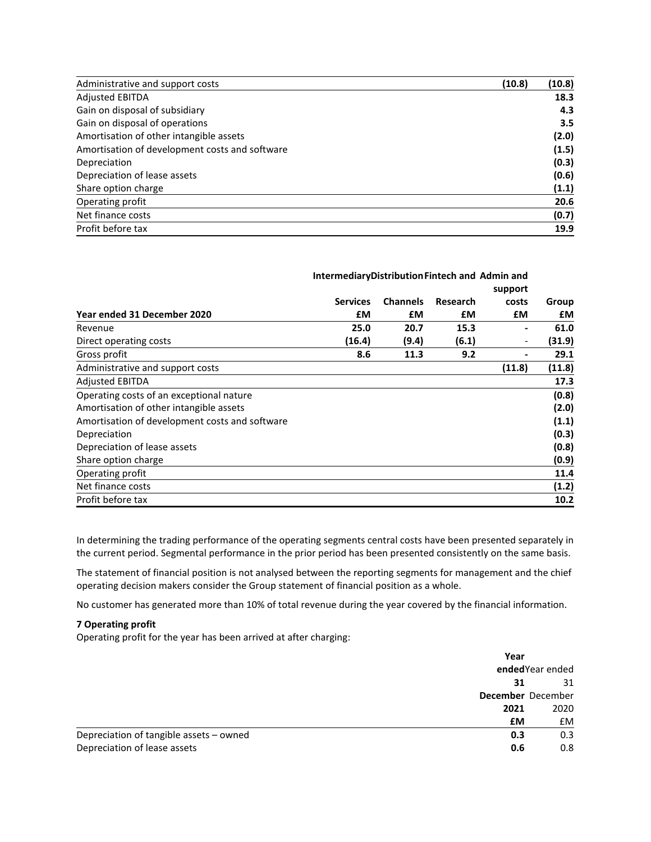| Administrative and support costs               | (10.8) | (10.8) |
|------------------------------------------------|--------|--------|
| <b>Adjusted EBITDA</b>                         |        | 18.3   |
| Gain on disposal of subsidiary                 |        | 4.3    |
| Gain on disposal of operations                 |        | 3.5    |
| Amortisation of other intangible assets        |        | (2.0)  |
| Amortisation of development costs and software |        | (1.5)  |
| Depreciation                                   |        | (0.3)  |
| Depreciation of lease assets                   |        | (0.6)  |
| Share option charge                            |        | (1.1)  |
| Operating profit                               |        | 20.6   |
| Net finance costs                              |        | (0.7)  |
| Profit before tax                              |        | 19.9   |

|                                                | IntermediaryDistributionFintech and Admin and |                 |          |                          |        |
|------------------------------------------------|-----------------------------------------------|-----------------|----------|--------------------------|--------|
|                                                |                                               |                 |          | support                  |        |
|                                                | <b>Services</b>                               | <b>Channels</b> | Research | costs                    | Group  |
| Year ended 31 December 2020                    | £М                                            | £М              | £М       | £М                       | £М     |
| Revenue                                        | 25.0                                          | 20.7            | 15.3     | ۰                        | 61.0   |
| Direct operating costs                         | (16.4)                                        | (9.4)           | (6.1)    | $\overline{\phantom{a}}$ | (31.9) |
| Gross profit                                   | 8.6                                           | 11.3            | 9.2      | ۰                        | 29.1   |
| Administrative and support costs               |                                               |                 |          | (11.8)                   | (11.8) |
| <b>Adjusted EBITDA</b>                         |                                               |                 |          |                          | 17.3   |
| Operating costs of an exceptional nature       |                                               |                 |          |                          | (0.8)  |
| Amortisation of other intangible assets        |                                               |                 |          |                          | (2.0)  |
| Amortisation of development costs and software |                                               |                 |          |                          | (1.1)  |
| Depreciation                                   |                                               |                 |          |                          | (0.3)  |
| Depreciation of lease assets                   |                                               |                 |          |                          | (0.8)  |
| Share option charge                            |                                               |                 |          |                          | (0.9)  |
| Operating profit                               |                                               |                 |          |                          | 11.4   |
| Net finance costs                              |                                               |                 |          |                          | (1.2)  |
| Profit before tax                              |                                               |                 |          |                          | 10.2   |

In determining the trading performance of the operating segments central costs have been presented separately in the current period. Segmental performance in the prior period has been presented consistently on the same basis.

The statement of financial position is not analysed between the reporting segments for management and the chief operating decision makers consider the Group statement of financial position as a whole.

No customer has generated more than 10% of total revenue during the year covered by the financial information.

# **7 Operating profit**

Operating profit for the year has been arrived at after charging:

|                                         | Year |                   |
|-----------------------------------------|------|-------------------|
|                                         |      | ended Year ended  |
|                                         | 31   | 31                |
|                                         |      | December December |
|                                         | 2021 | 2020              |
|                                         | £M   | <b>£M</b>         |
| Depreciation of tangible assets - owned | 0.3  | 0.3               |
| Depreciation of lease assets            | 0.6  | 0.8               |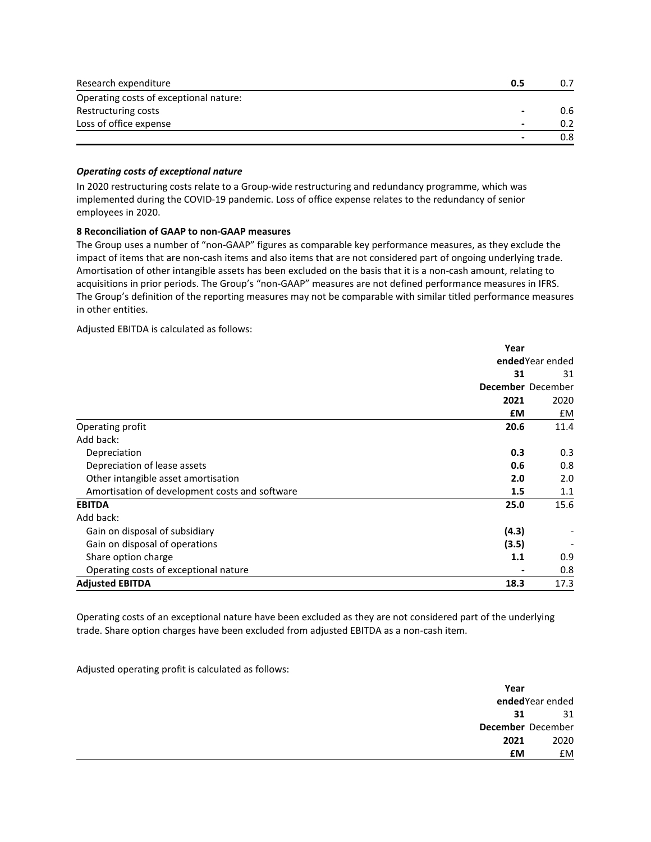| Research expenditure                   | 0.5 |     |
|----------------------------------------|-----|-----|
| Operating costs of exceptional nature: |     |     |
| Restructuring costs                    |     | 0.6 |
| Loss of office expense                 |     |     |
|                                        |     | 0.8 |

### *Operating costs of exceptional nature*

In 2020 restructuring costs relate to a Group-wide restructuring and redundancy programme, which was implemented during the COVID-19 pandemic. Loss of office expense relates to the redundancy of senior employees in 2020.

# **8 Reconciliation of GAAP to non-GAAP measures**

The Group uses a number of "non-GAAP" figures as comparable key performance measures, as they exclude the impact of items that are non-cash items and also items that are not considered part of ongoing underlying trade. Amortisation of other intangible assets has been excluded on the basis that it is a non-cash amount, relating to acquisitions in prior periods. The Group's "non-GAAP" measures are not defined performance measures in IFRS. The Group's definition of the reporting measures may not be comparable with similar titled performance measures in other entities.

Adjusted EBITDA is calculated as follows:

|                                                | Year            |                   |
|------------------------------------------------|-----------------|-------------------|
|                                                | endedYear ended |                   |
|                                                | 31              | 31                |
|                                                |                 | December December |
|                                                | 2021            | 2020              |
|                                                | £M              | £M                |
| Operating profit                               | 20.6            | 11.4              |
| Add back:                                      |                 |                   |
| Depreciation                                   | 0.3             | 0.3               |
| Depreciation of lease assets                   | 0.6             | 0.8               |
| Other intangible asset amortisation            | 2.0             | 2.0               |
| Amortisation of development costs and software | 1.5             | 1.1               |
| <b>EBITDA</b>                                  | 25.0            | 15.6              |
| Add back:                                      |                 |                   |
| Gain on disposal of subsidiary                 | (4.3)           |                   |
| Gain on disposal of operations                 | (3.5)           |                   |
| Share option charge                            | 1.1             | 0.9               |
| Operating costs of exceptional nature          |                 | 0.8               |
| <b>Adjusted EBITDA</b>                         | 18.3            | 17.3              |

Operating costs of an exceptional nature have been excluded as they are not considered part of the underlying trade. Share option charges have been excluded from adjusted EBITDA as a non-cash item.

Adjusted operating profit is calculated as follows:

| Year      |                   |
|-----------|-------------------|
|           | endedYear ended   |
| 31        | 31                |
|           | December December |
| 2021      | 2020              |
| <b>£M</b> | £M                |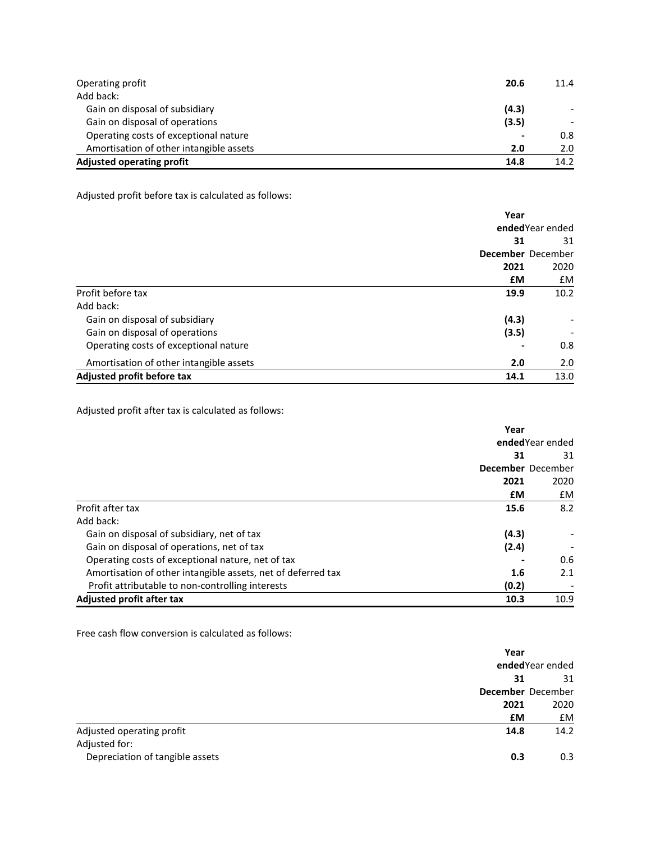| Operating profit                        | 20.6                     | 11.4 |
|-----------------------------------------|--------------------------|------|
| Add back:                               |                          |      |
| Gain on disposal of subsidiary          | (4.3)                    |      |
| Gain on disposal of operations          | (3.5)                    |      |
| Operating costs of exceptional nature   | $\overline{\phantom{0}}$ | 0.8  |
| Amortisation of other intangible assets | 2.0                      | 2.0  |
| <b>Adjusted operating profit</b>        | 14.8                     | 14.2 |

Adjusted profit before tax is calculated as follows:

|                                         | Year              |      |
|-----------------------------------------|-------------------|------|
|                                         | ended Year ended  |      |
|                                         | 31                | 31   |
|                                         | December December |      |
|                                         | 2021              | 2020 |
|                                         | £M                | £M   |
| Profit before tax                       | 19.9              | 10.2 |
| Add back:                               |                   |      |
| Gain on disposal of subsidiary          | (4.3)             |      |
| Gain on disposal of operations          | (3.5)             |      |
| Operating costs of exceptional nature   |                   | 0.8  |
| Amortisation of other intangible assets | 2.0               | 2.0  |
| Adjusted profit before tax              | 14.1              | 13.0 |

Adjusted profit after tax is calculated as follows:

|                                                              | Year            |                   |
|--------------------------------------------------------------|-----------------|-------------------|
|                                                              | endedYear ended |                   |
|                                                              | 31              | 31                |
|                                                              |                 | December December |
|                                                              | 2021            | 2020              |
|                                                              | £М              | £M                |
| Profit after tax                                             | 15.6            | 8.2               |
| Add back:                                                    |                 |                   |
| Gain on disposal of subsidiary, net of tax                   | (4.3)           |                   |
| Gain on disposal of operations, net of tax                   | (2.4)           |                   |
| Operating costs of exceptional nature, net of tax            |                 | 0.6               |
| Amortisation of other intangible assets, net of deferred tax | 1.6             | 2.1               |
| Profit attributable to non-controlling interests             | (0.2)           |                   |
| Adjusted profit after tax                                    | 10.3            | 10.9              |

Free cash flow conversion is calculated as follows:

|                                            | Year      |                   |  |
|--------------------------------------------|-----------|-------------------|--|
|                                            |           | ended Year ended  |  |
|                                            | 31        | 31                |  |
|                                            |           | December December |  |
|                                            | 2021      | 2020              |  |
|                                            | <b>£M</b> | £M                |  |
| Adjusted operating profit<br>Adjusted for: | 14.8      | 14.2              |  |
| Depreciation of tangible assets            | 0.3       | 0.3               |  |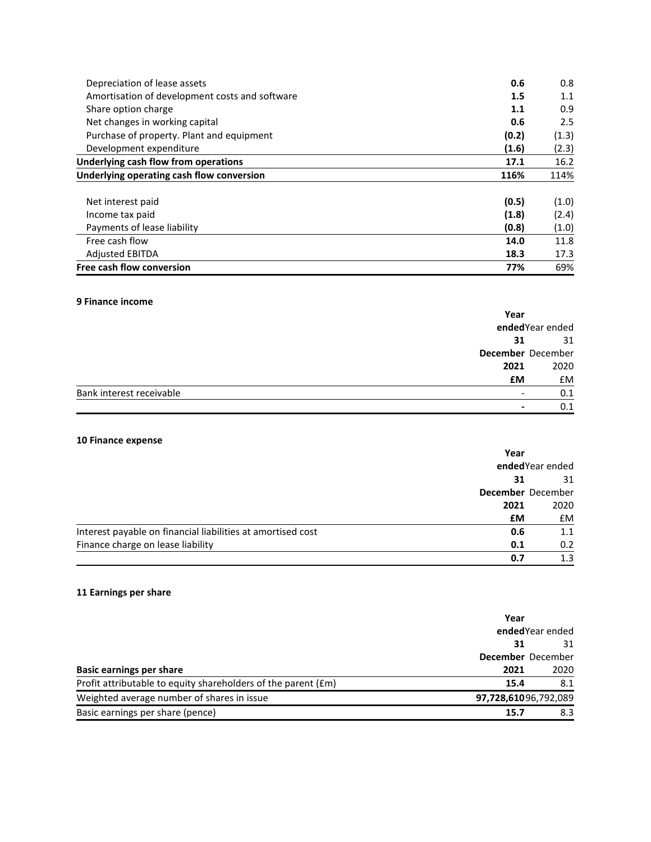| Depreciation of lease assets                   | 0.6   | 0.8   |
|------------------------------------------------|-------|-------|
| Amortisation of development costs and software | 1.5   | 1.1   |
| Share option charge                            | 1.1   | 0.9   |
| Net changes in working capital                 | 0.6   | 2.5   |
| Purchase of property. Plant and equipment      | (0.2) | (1.3) |
| Development expenditure                        | (1.6) | (2.3) |
| Underlying cash flow from operations           | 17.1  | 16.2  |
| Underlying operating cash flow conversion      | 116%  | 114%  |
| Net interest paid                              | (0.5) | (1.0) |
| Income tax paid                                | (1.8) | (2.4) |
| Payments of lease liability                    | (0.8) | (1.0) |
| Free cash flow                                 | 14.0  | 11.8  |
| <b>Adjusted EBITDA</b>                         | 18.3  | 17.3  |
| Free cash flow conversion                      | 77%   | 69%   |

# **9 Finance income**

|                          | Year      |                   |
|--------------------------|-----------|-------------------|
|                          |           | endedYear ended   |
|                          | 31        | 31                |
|                          |           | December December |
|                          | 2021      | 2020              |
|                          | <b>£M</b> | <b>£M</b>         |
| Bank interest receivable |           | 0.1               |
|                          |           | 0.1               |

# **10 Finance expense**

|                                                             | Year<br>ended Year ended |                   |
|-------------------------------------------------------------|--------------------------|-------------------|
|                                                             |                          |                   |
|                                                             | 31                       | 31                |
|                                                             |                          | December December |
|                                                             | 2021                     | 2020              |
|                                                             | £М                       | <b>£M</b>         |
| Interest payable on financial liabilities at amortised cost | 0.6                      | 1.1               |
| Finance charge on lease liability                           | 0.1                      | 0.2               |
|                                                             | 0.7                      | 1.3               |

# **11 Earnings per share**

|                                                               | Year                 |      |
|---------------------------------------------------------------|----------------------|------|
|                                                               | ended Year ended     |      |
|                                                               | 31                   | 31   |
|                                                               | December December    |      |
| <b>Basic earnings per share</b>                               | 2021                 | 2020 |
| Profit attributable to equity shareholders of the parent (£m) | 15.4                 | 8.1  |
| Weighted average number of shares in issue                    | 97,728,61096,792,089 |      |
| Basic earnings per share (pence)                              | 15.7                 | 8.3  |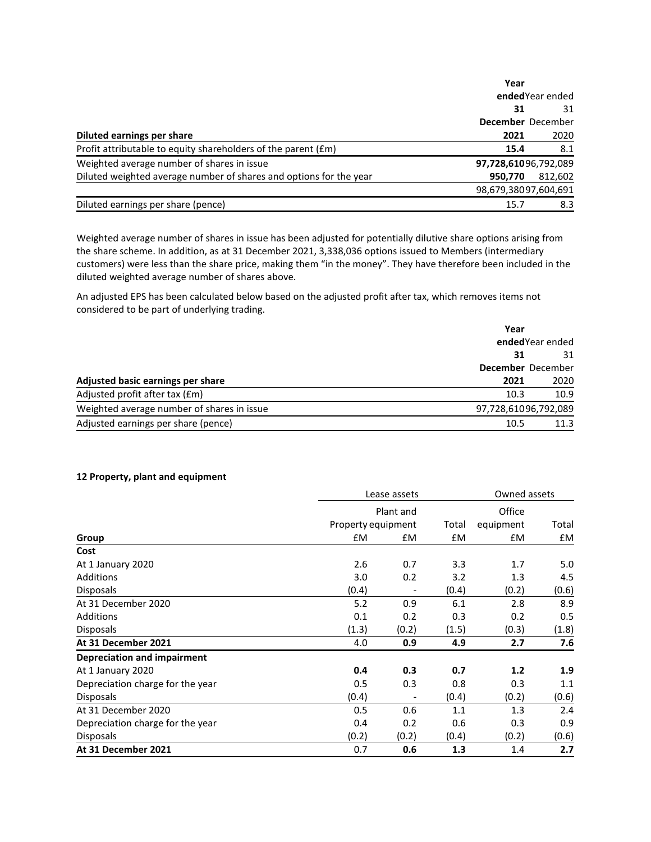|                                                                    | Year                 |         |
|--------------------------------------------------------------------|----------------------|---------|
|                                                                    | ended Year ended     |         |
|                                                                    | 31                   | 31      |
|                                                                    | December December    |         |
| Diluted earnings per share                                         | 2021                 | 2020    |
| Profit attributable to equity shareholders of the parent (£m)      | 15.4                 | 8.1     |
| Weighted average number of shares in issue                         | 97,728,61096,792,089 |         |
| Diluted weighted average number of shares and options for the year | 950,770              | 812,602 |
|                                                                    | 98,679,38097,604,691 |         |
| Diluted earnings per share (pence)                                 | 15.7                 | 8.3     |

Weighted average number of shares in issue has been adjusted for potentially dilutive share options arising from the share scheme. In addition, as at 31 December 2021, 3,338,036 options issued to Members (intermediary customers) were less than the share price, making them "in the money". They have therefore been included in the diluted weighted average number of shares above.

An adjusted EPS has been calculated below based on the adjusted profit after tax, which removes items not considered to be part of underlying trading.

| Year                                       |                      |
|--------------------------------------------|----------------------|
|                                            | ended Year ended     |
|                                            | 31<br>31             |
|                                            | December December    |
| Adjusted basic earnings per share          | 2020<br>2021         |
| Adjusted profit after tax (£m)             | 10.9<br>10.3         |
| Weighted average number of shares in issue | 97,728,61096,792,089 |
| Adjusted earnings per share (pence)        | 10.5<br>11.3         |

## **12 Property, plant and equipment**

|                                  |       | Lease assets       |       |           | Owned assets |  |  |
|----------------------------------|-------|--------------------|-------|-----------|--------------|--|--|
|                                  |       | Plant and          |       | Office    |              |  |  |
|                                  |       | Property equipment | Total | equipment | Total        |  |  |
| Group                            | £M    | £M                 | £M    | £M        | £M           |  |  |
| Cost                             |       |                    |       |           |              |  |  |
| At 1 January 2020                | 2.6   | 0.7                | 3.3   | 1.7       | 5.0          |  |  |
| Additions                        | 3.0   | 0.2                | 3.2   | 1.3       | 4.5          |  |  |
| <b>Disposals</b>                 | (0.4) |                    | (0.4) | (0.2)     | (0.6)        |  |  |
| At 31 December 2020              | 5.2   | 0.9                | 6.1   | 2.8       | 8.9          |  |  |
| Additions                        | 0.1   | 0.2                | 0.3   | 0.2       | 0.5          |  |  |
| <b>Disposals</b>                 | (1.3) | (0.2)              | (1.5) | (0.3)     | (1.8)        |  |  |
| At 31 December 2021              | 4.0   | 0.9                | 4.9   | 2.7       | 7.6          |  |  |
| Depreciation and impairment      |       |                    |       |           |              |  |  |
| At 1 January 2020                | 0.4   | 0.3                | 0.7   | 1.2       | 1.9          |  |  |
| Depreciation charge for the year | 0.5   | 0.3                | 0.8   | 0.3       | 1.1          |  |  |
| <b>Disposals</b>                 | (0.4) |                    | (0.4) | (0.2)     | (0.6)        |  |  |
| At 31 December 2020              | 0.5   | 0.6                | 1.1   | 1.3       | 2.4          |  |  |
| Depreciation charge for the year | 0.4   | 0.2                | 0.6   | 0.3       | 0.9          |  |  |
| <b>Disposals</b>                 | (0.2) | (0.2)              | (0.4) | (0.2)     | (0.6)        |  |  |
| At 31 December 2021              | 0.7   | 0.6                | 1.3   | 1.4       | 2.7          |  |  |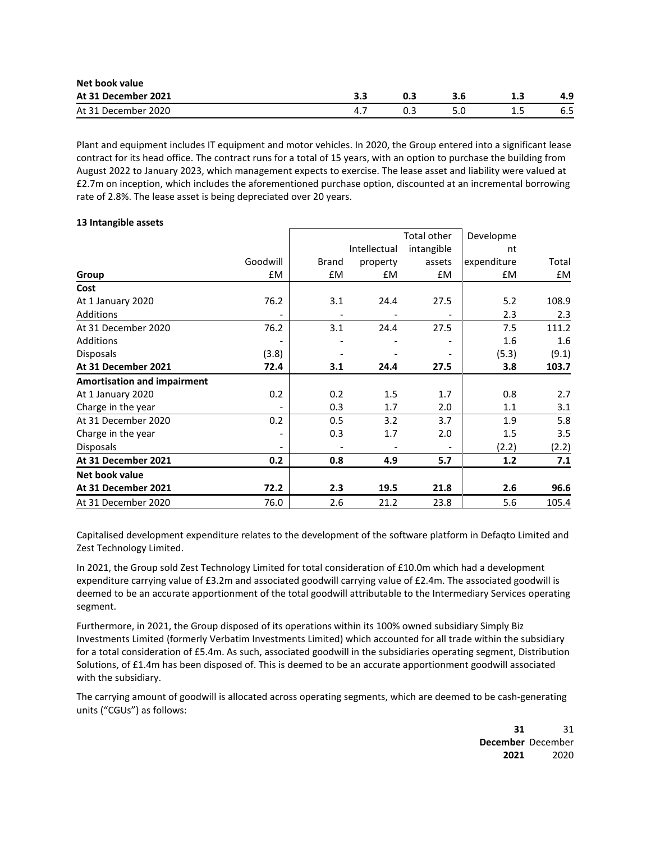| Net book value      |  |  |  |     |     |
|---------------------|--|--|--|-----|-----|
| At 31 December 2021 |  |  |  |     |     |
| At 31 December 2020 |  |  |  | --- | 6.5 |

Plant and equipment includes IT equipment and motor vehicles. In 2020, the Group entered into a significant lease contract for its head office. The contract runs for a total of 15 years, with an option to purchase the building from August 2022 to January 2023, which management expects to exercise. The lease asset and liability were valued at £2.7m on inception, which includes the aforementioned purchase option, discounted at an incremental borrowing rate of 2.8%. The lease asset is being depreciated over 20 years.

### **13 Intangible assets**

|       |          |          | Total other                  | Developme   |       |
|-------|----------|----------|------------------------------|-------------|-------|
|       |          |          | intangible                   | nt          |       |
|       | Brand    | property | assets                       | expenditure | Total |
| £M    | £M       | £M       | £M                           | £M          | £M    |
|       |          |          |                              |             |       |
| 76.2  | 3.1      | 24.4     | 27.5                         | 5.2         | 108.9 |
|       |          |          |                              | 2.3         | 2.3   |
| 76.2  | 3.1      | 24.4     | 27.5                         | 7.5         | 111.2 |
|       |          |          | $\qquad \qquad \blacksquare$ | 1.6         | 1.6   |
| (3.8) |          |          | $\qquad \qquad \blacksquare$ | (5.3)       | (9.1) |
| 72.4  | 3.1      | 24.4     | 27.5                         | 3.8         | 103.7 |
|       |          |          |                              |             |       |
| 0.2   | 0.2      | 1.5      | 1.7                          | 0.8         | 2.7   |
|       | 0.3      | 1.7      | 2.0                          | 1.1         | 3.1   |
| 0.2   | 0.5      | 3.2      | 3.7                          | 1.9         | 5.8   |
|       | 0.3      | 1.7      | 2.0                          | 1.5         | 3.5   |
|       |          |          |                              | (2.2)       | (2.2) |
| 0.2   | 0.8      | 4.9      | 5.7                          | 1.2         | 7.1   |
|       |          |          |                              |             |       |
| 72.2  | 2.3      | 19.5     | 21.8                         | 2.6         | 96.6  |
| 76.0  | 2.6      | 21.2     | 23.8                         | 5.6         | 105.4 |
|       | Goodwill |          | Intellectual                 |             |       |

Capitalised development expenditure relates to the development of the software platform in Defaqto Limited and Zest Technology Limited.

In 2021, the Group sold Zest Technology Limited for total consideration of £10.0m which had a development expenditure carrying value of £3.2m and associated goodwill carrying value of £2.4m. The associated goodwill is deemed to be an accurate apportionment of the total goodwill attributable to the Intermediary Services operating segment.

Furthermore, in 2021, the Group disposed of its operations within its 100% owned subsidiary Simply Biz Investments Limited (formerly Verbatim Investments Limited) which accounted for all trade within the subsidiary for a total consideration of £5.4m. As such, associated goodwill in the subsidiaries operating segment, Distribution Solutions, of £1.4m has been disposed of. This is deemed to be an accurate apportionment goodwill associated with the subsidiary.

The carrying amount of goodwill is allocated across operating segments, which are deemed to be cash-generating units ("CGUs") as follows:

> **31 December** December 31 **2021** 2020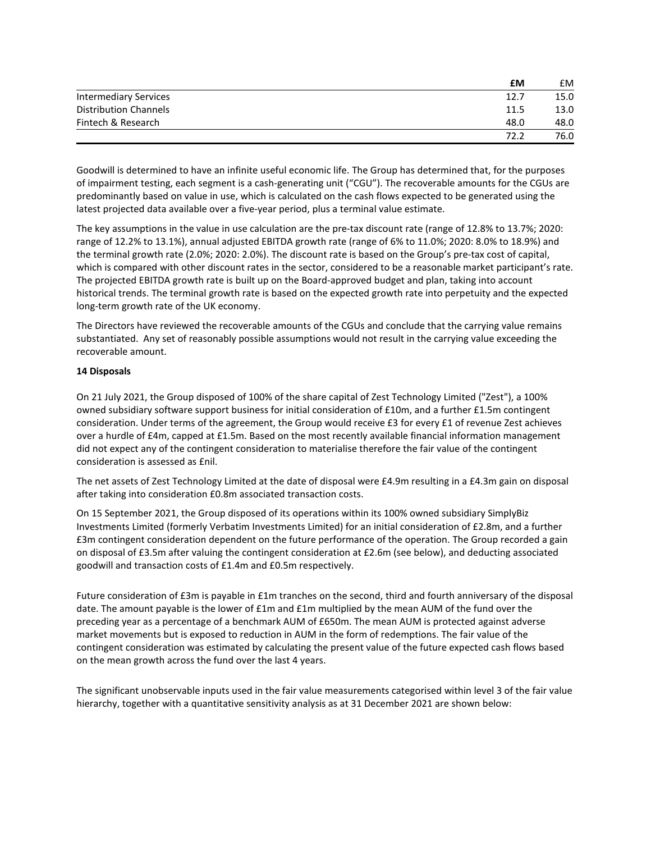|                              | £М   | £M   |
|------------------------------|------|------|
| <b>Intermediary Services</b> | 12.7 | 15.0 |
| <b>Distribution Channels</b> | 11.5 | 13.0 |
| Fintech & Research           | 48.0 | 48.0 |
|                              | 72.2 | 76.0 |

Goodwill is determined to have an infinite useful economic life. The Group has determined that, for the purposes of impairment testing, each segment is a cash-generating unit ("CGU"). The recoverable amounts for the CGUs are predominantly based on value in use, which is calculated on the cash flows expected to be generated using the latest projected data available over a five-year period, plus a terminal value estimate.

The key assumptions in the value in use calculation are the pre-tax discount rate (range of 12.8% to 13.7%; 2020: range of 12.2% to 13.1%), annual adjusted EBITDA growth rate (range of 6% to 11.0%; 2020: 8.0% to 18.9%) and the terminal growth rate (2.0%; 2020: 2.0%). The discount rate is based on the Group's pre-tax cost of capital, which is compared with other discount rates in the sector, considered to be a reasonable market participant's rate. The projected EBITDA growth rate is built up on the Board-approved budget and plan, taking into account historical trends. The terminal growth rate is based on the expected growth rate into perpetuity and the expected long-term growth rate of the UK economy.

The Directors have reviewed the recoverable amounts of the CGUs and conclude that the carrying value remains substantiated. Any set of reasonably possible assumptions would not result in the carrying value exceeding the recoverable amount.

# **14 Disposals**

On 21 July 2021, the Group disposed of 100% of the share capital of Zest Technology Limited ("Zest"), a 100% owned subsidiary software support business for initial consideration of £10m, and a further £1.5m contingent consideration. Under terms of the agreement, the Group would receive £3 for every £1 of revenue Zest achieves over a hurdle of £4m, capped at £1.5m. Based on the most recently available financial information management did not expect any of the contingent consideration to materialise therefore the fair value of the contingent consideration is assessed as £nil.

The net assets of Zest Technology Limited at the date of disposal were £4.9m resulting in a £4.3m gain on disposal after taking into consideration £0.8m associated transaction costs.

On 15 September 2021, the Group disposed of its operations within its 100% owned subsidiary SimplyBiz Investments Limited (formerly Verbatim Investments Limited) for an initial consideration of £2.8m, and a further £3m contingent consideration dependent on the future performance of the operation. The Group recorded a gain on disposal of £3.5m after valuing the contingent consideration at £2.6m (see below), and deducting associated goodwill and transaction costs of £1.4m and £0.5m respectively.

Future consideration of £3m is payable in £1m tranches on the second, third and fourth anniversary of the disposal date. The amount payable is the lower of £1m and £1m multiplied by the mean AUM of the fund over the preceding year as a percentage of a benchmark AUM of £650m. The mean AUM is protected against adverse market movements but is exposed to reduction in AUM in the form of redemptions. The fair value of the contingent consideration was estimated by calculating the present value of the future expected cash flows based on the mean growth across the fund over the last 4 years.

The significant unobservable inputs used in the fair value measurements categorised within level 3 of the fair value hierarchy, together with a quantitative sensitivity analysis as at 31 December 2021 are shown below: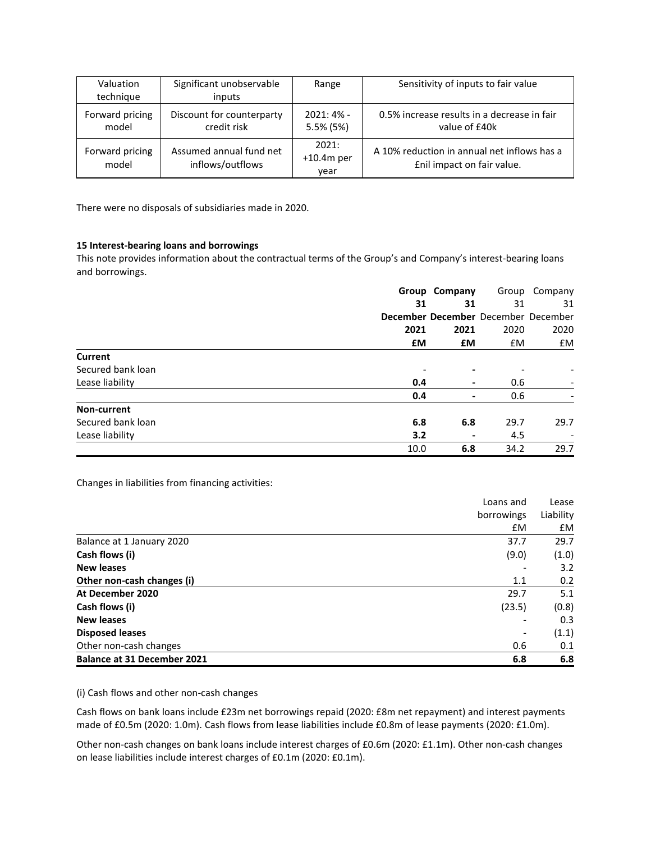| Valuation<br>technique   | Significant unobservable<br>inputs          | Range                         | Sensitivity of inputs to fair value                                       |
|--------------------------|---------------------------------------------|-------------------------------|---------------------------------------------------------------------------|
| Forward pricing<br>model | Discount for counterparty<br>credit risk    | $2021:4% -$<br>5.5% (5%)      | 0.5% increase results in a decrease in fair<br>value of £40k              |
| Forward pricing<br>model | Assumed annual fund net<br>inflows/outflows | 2021:<br>$+10.4m$ per<br>year | A 10% reduction in annual net inflows has a<br>Enil impact on fair value. |

There were no disposals of subsidiaries made in 2020.

# **15 Interest-bearing loans and borrowings**

This note provides information about the contractual terms of the Group's and Company's interest-bearing loans and borrowings.

|                   |      | Group Company  |                                     | Group Company |
|-------------------|------|----------------|-------------------------------------|---------------|
|                   | 31   | 31             | 31                                  | 31            |
|                   |      |                | December December December December |               |
|                   | 2021 | 2021           | 2020                                | 2020          |
|                   | £М   | £M             | £M                                  | £M            |
| <b>Current</b>    |      |                |                                     |               |
| Secured bank loan |      | ۰              |                                     |               |
| Lease liability   | 0.4  | $\blacksquare$ | 0.6                                 |               |
|                   | 0.4  | ۰              | 0.6                                 |               |
| Non-current       |      |                |                                     |               |
| Secured bank loan | 6.8  | 6.8            | 29.7                                | 29.7          |
| Lease liability   | 3.2  | ۰              | 4.5                                 |               |
|                   | 10.0 | 6.8            | 34.2                                | 29.7          |

Changes in liabilities from financing activities:

|                                    | Loans and  |           |
|------------------------------------|------------|-----------|
|                                    | borrowings | Liability |
|                                    | £M         | £M        |
| Balance at 1 January 2020          | 37.7       | 29.7      |
| Cash flows (i)                     | (9.0)      | (1.0)     |
| <b>New leases</b>                  |            | 3.2       |
| Other non-cash changes (i)         | 1.1        | 0.2       |
| At December 2020                   | 29.7       | 5.1       |
| Cash flows (i)                     | (23.5)     | (0.8)     |
| <b>New leases</b>                  |            | 0.3       |
| <b>Disposed leases</b>             |            | (1.1)     |
| Other non-cash changes             | 0.6        | 0.1       |
| <b>Balance at 31 December 2021</b> | 6.8        | 6.8       |

### (i) Cash flows and other non-cash changes

Cash flows on bank loans include £23m net borrowings repaid (2020: £8m net repayment) and interest payments made of £0.5m (2020: 1.0m). Cash flows from lease liabilities include £0.8m of lease payments (2020: £1.0m).

Other non-cash changes on bank loans include interest charges of £0.6m (2020: £1.1m). Other non-cash changes on lease liabilities include interest charges of £0.1m (2020: £0.1m).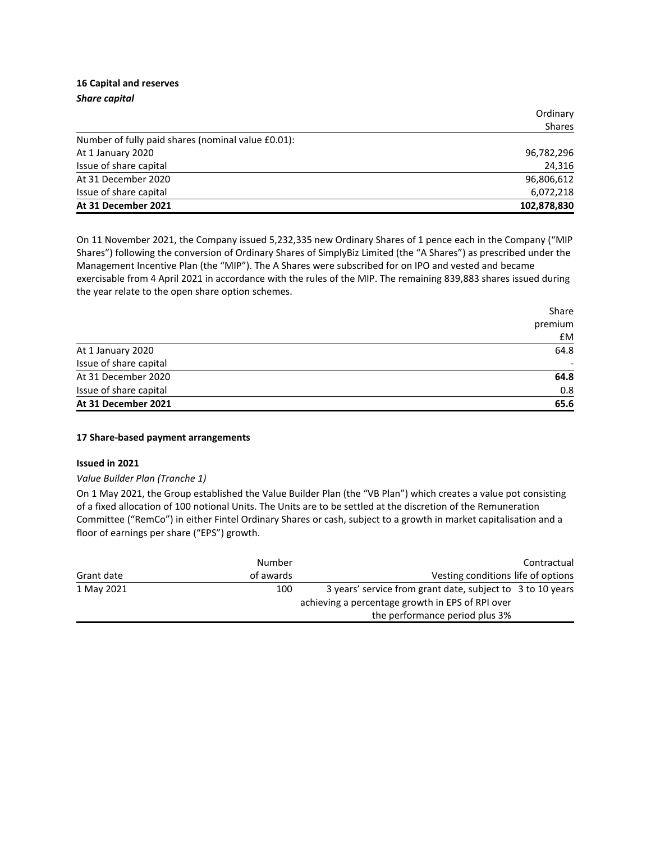# **16 Capital and reserves** *Share capital*

|                                                    | Ordinary    |
|----------------------------------------------------|-------------|
|                                                    | Shares      |
| Number of fully paid shares (nominal value £0.01): |             |
| At 1 January 2020                                  | 96,782,296  |
| Issue of share capital                             | 24,316      |
| At 31 December 2020                                | 96,806,612  |
| Issue of share capital                             | 6,072,218   |
| At 31 December 2021                                | 102,878,830 |

On 11 November 2021, the Company issued 5,232,335 new Ordinary Shares of 1 pence each in the Company ("MIP Shares") following the conversion of Ordinary Shares of SimplyBiz Limited (the "A Shares") as prescribed under the Management Incentive Plan (the "MIP"). The A Shares were subscribed for on IPO and vested and became exercisable from 4 April 2021 in accordance with the rules of the MIP. The remaining 839,883 shares issued during the year relate to the open share option schemes.

|                        | Share   |
|------------------------|---------|
|                        | premium |
|                        | £M      |
| At 1 January 2020      | 64.8    |
| Issue of share capital |         |
| At 31 December 2020    | 64.8    |
| Issue of share capital | 0.8     |
| At 31 December 2021    | 65.6    |

# **17 Share-based payment arrangements**

# **Issued in 2021**

# *Value Builder Plan (Tranche 1)*

On 1 May 2021, the Group established the Value Builder Plan (the "VB Plan") which creates a value pot consisting of a fixed allocation of 100 notional Units. The Units are to be settled at the discretion of the Remuneration Committee ("RemCo") in either Fintel Ordinary Shares or cash, subject to a growth in market capitalisation and a floor of earnings per share ("EPS") growth.

|            | Number    |                                                            | Contractual |
|------------|-----------|------------------------------------------------------------|-------------|
| Grant date | of awards | Vesting conditions life of options                         |             |
| 1 May 2021 | 100       | 3 years' service from grant date, subject to 3 to 10 years |             |
|            |           | achieving a percentage growth in EPS of RPI over           |             |
|            |           | the performance period plus 3%                             |             |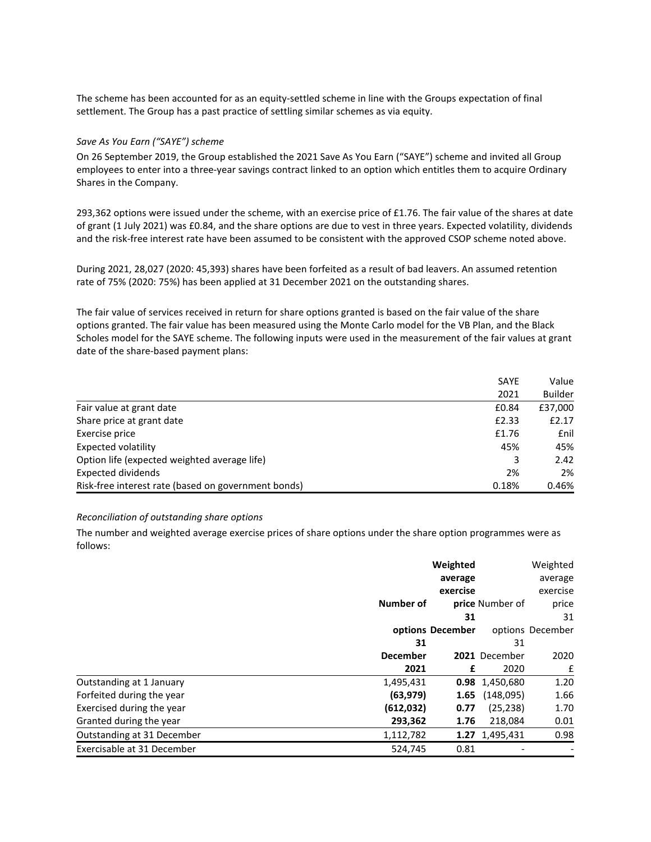The scheme has been accounted for as an equity-settled scheme in line with the Groups expectation of final settlement. The Group has a past practice of settling similar schemes as via equity.

### *Save As You Earn ("SAYE") scheme*

On 26 September 2019, the Group established the 2021 Save As You Earn ("SAYE") scheme and invited all Group employees to enter into a three-year savings contract linked to an option which entitles them to acquire Ordinary Shares in the Company.

293,362 options were issued under the scheme, with an exercise price of £1.76. The fair value of the shares at date of grant (1 July 2021) was £0.84, and the share options are due to vest in three years. Expected volatility, dividends and the risk-free interest rate have been assumed to be consistent with the approved CSOP scheme noted above.

During 2021, 28,027 (2020: 45,393) shares have been forfeited as a result of bad leavers. An assumed retention rate of 75% (2020: 75%) has been applied at 31 December 2021 on the outstanding shares.

The fair value of services received in return for share options granted is based on the fair value of the share options granted. The fair value has been measured using the Monte Carlo model for the VB Plan, and the Black Scholes model for the SAYE scheme. The following inputs were used in the measurement of the fair values at grant date of the share-based payment plans:

|                                                     | <b>SAYE</b> | Value          |
|-----------------------------------------------------|-------------|----------------|
|                                                     | 2021        | <b>Builder</b> |
| Fair value at grant date                            | £0.84       | £37,000        |
| Share price at grant date                           | £2.33       | £2.17          |
| Exercise price                                      | £1.76       | <b>f</b> nil   |
| Expected volatility                                 | 45%         | 45%            |
| Option life (expected weighted average life)        | 3           | 2.42           |
| Expected dividends                                  | 2%          | 2%             |
| Risk-free interest rate (based on government bonds) | 0.18%       | 0.46%          |

### *Reconciliation of outstanding share options*

The number and weighted average exercise prices of share options under the share option programmes were as follows:

|                            | Weighted        |                  | Weighted               |                  |
|----------------------------|-----------------|------------------|------------------------|------------------|
|                            |                 | average          |                        | average          |
|                            |                 | exercise         |                        | exercise         |
|                            | Number of       |                  | <b>price</b> Number of | price            |
|                            |                 | 31               |                        | 31               |
|                            |                 | options December |                        | options December |
|                            | 31              |                  | 31                     |                  |
|                            | <b>December</b> |                  | 2021 December          | 2020             |
|                            | 2021            | £                | 2020                   | £                |
| Outstanding at 1 January   | 1,495,431       |                  | 0.98 1,450,680         | 1.20             |
| Forfeited during the year  | (63, 979)       | 1.65             | (148,095)              | 1.66             |
| Exercised during the year  | (612,032)       | 0.77             | (25, 238)              | 1.70             |
| Granted during the year    | 293,362         | 1.76             | 218,084                | 0.01             |
| Outstanding at 31 December | 1,112,782       |                  | 1.27 1,495,431         | 0.98             |
| Exercisable at 31 December | 524.745         | 0.81             |                        |                  |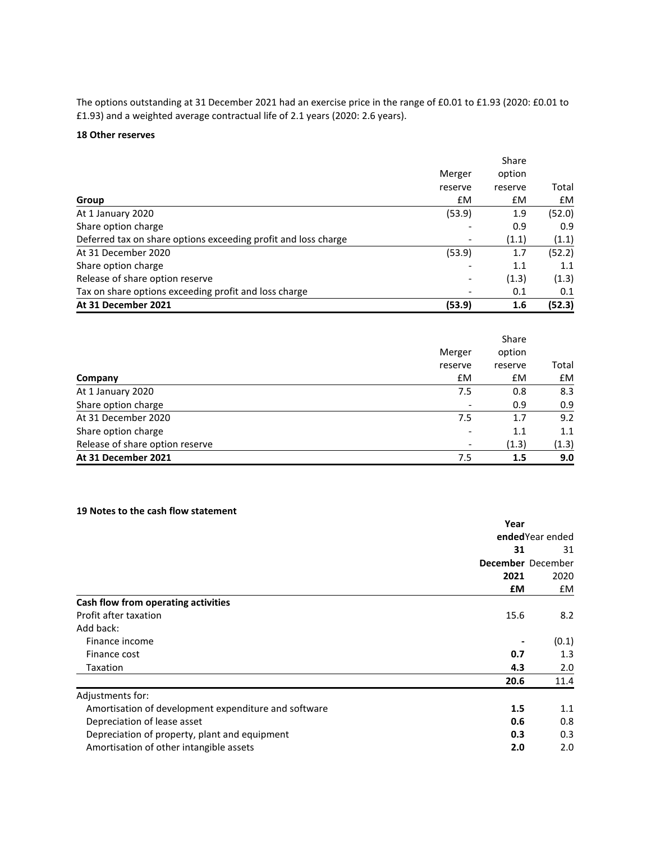The options outstanding at 31 December 2021 had an exercise price in the range of £0.01 to £1.93 (2020: £0.01 to £1.93) and a weighted average contractual life of 2.1 years (2020: 2.6 years).

# **18 Other reserves**

|                                                                |         | Share   |        |
|----------------------------------------------------------------|---------|---------|--------|
|                                                                | Merger  | option  |        |
|                                                                | reserve | reserve | Total  |
| Group                                                          | £M      | £M      | £M     |
| At 1 January 2020                                              | (53.9)  | 1.9     | (52.0) |
| Share option charge                                            |         | 0.9     | 0.9    |
| Deferred tax on share options exceeding profit and loss charge |         | (1.1)   | (1.1)  |
| At 31 December 2020                                            | (53.9)  | 1.7     | (52.2) |
| Share option charge                                            |         | 1.1     | 1.1    |
| Release of share option reserve                                |         | (1.3)   | (1.3)  |
| Tax on share options exceeding profit and loss charge          |         | 0.1     | 0.1    |
| At 31 December 2021                                            | (53.9)  | 1.6     | (52.3) |

|                                 |         | Share   |       |
|---------------------------------|---------|---------|-------|
|                                 | Merger  | option  |       |
|                                 | reserve | reserve | Total |
| Company                         | £M      | £M      | £M    |
| At 1 January 2020               | 7.5     | 0.8     | 8.3   |
| Share option charge             |         | 0.9     | 0.9   |
| At 31 December 2020             | 7.5     | 1.7     | 9.2   |
| Share option charge             |         | 1.1     | 1.1   |
| Release of share option reserve |         | (1.3)   | (1.3) |
| At 31 December 2021             | 7.5     | 1.5     | 9.0   |

# **19 Notes to the cash flow statement**

|                                                      | Year |                   |
|------------------------------------------------------|------|-------------------|
|                                                      |      | ended Year ended  |
|                                                      | 31   | 31                |
|                                                      |      | December December |
|                                                      | 2021 | 2020              |
|                                                      | £М   | £M                |
| Cash flow from operating activities                  |      |                   |
| Profit after taxation                                | 15.6 | 8.2               |
| Add back:                                            |      |                   |
| Finance income                                       |      | (0.1)             |
| Finance cost                                         | 0.7  | 1.3               |
| Taxation                                             | 4.3  | 2.0               |
|                                                      | 20.6 | 11.4              |
| Adjustments for:                                     |      |                   |
| Amortisation of development expenditure and software | 1.5  | 1.1               |
| Depreciation of lease asset                          | 0.6  | 0.8               |
| Depreciation of property, plant and equipment        | 0.3  | 0.3               |
| Amortisation of other intangible assets              | 2.0  | 2.0               |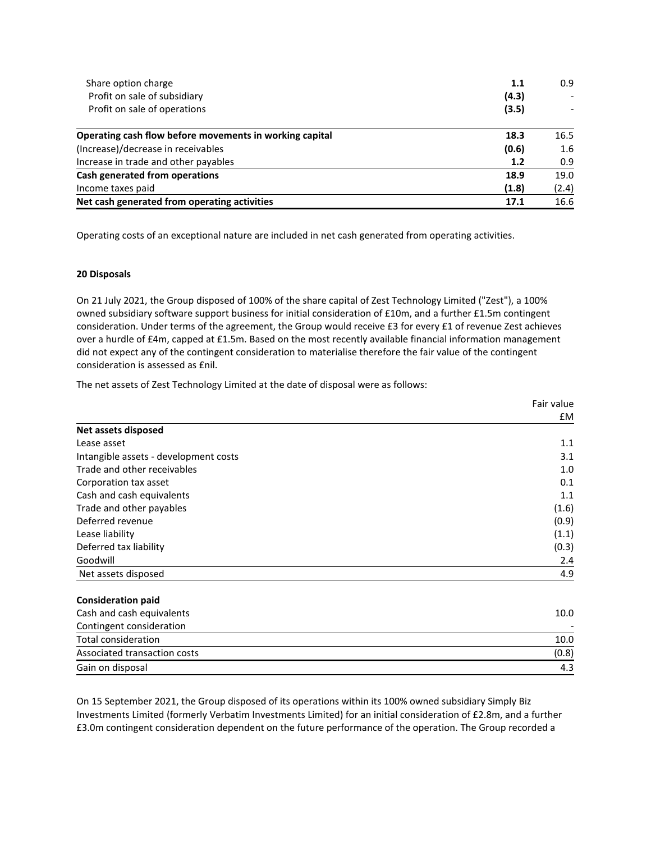| Share option charge                                     | 1.1   | 0.9   |
|---------------------------------------------------------|-------|-------|
| Profit on sale of subsidiary                            | (4.3) |       |
| Profit on sale of operations                            | (3.5) |       |
| Operating cash flow before movements in working capital | 18.3  | 16.5  |
| (Increase)/decrease in receivables                      | (0.6) | 1.6   |
| Increase in trade and other payables                    | 1.2   | 0.9   |
| <b>Cash generated from operations</b>                   | 18.9  | 19.0  |
| Income taxes paid                                       | (1.8) | (2.4) |
| Net cash generated from operating activities            | 17.1  | 16.6  |

Operating costs of an exceptional nature are included in net cash generated from operating activities.

### **20 Disposals**

On 21 July 2021, the Group disposed of 100% of the share capital of Zest Technology Limited ("Zest"), a 100% owned subsidiary software support business for initial consideration of £10m, and a further £1.5m contingent consideration. Under terms of the agreement, the Group would receive £3 for every £1 of revenue Zest achieves over a hurdle of £4m, capped at £1.5m. Based on the most recently available financial information management did not expect any of the contingent consideration to materialise therefore the fair value of the contingent consideration is assessed as £nil.

The net assets of Zest Technology Limited at the date of disposal were as follows:

|                                       | Fair value |
|---------------------------------------|------------|
|                                       | £M         |
| Net assets disposed                   |            |
| Lease asset                           | 1.1        |
| Intangible assets - development costs | 3.1        |
| Trade and other receivables           | 1.0        |
| Corporation tax asset                 | 0.1        |
| Cash and cash equivalents             | 1.1        |
| Trade and other payables              | (1.6)      |
| Deferred revenue                      | (0.9)      |
| Lease liability                       | (1.1)      |
| Deferred tax liability                | (0.3)      |
| Goodwill                              | 2.4        |
| Net assets disposed                   | 4.9        |
| <b>Consideration paid</b>             |            |
| Cash and cash equivalents             | 10.0       |
| Contingent consideration              |            |
| <b>Total consideration</b>            | 10.0       |
| Associated transaction costs          | (0.8)      |
| Gain on disposal                      | 4.3        |

On 15 September 2021, the Group disposed of its operations within its 100% owned subsidiary Simply Biz Investments Limited (formerly Verbatim Investments Limited) for an initial consideration of £2.8m, and a further £3.0m contingent consideration dependent on the future performance of the operation. The Group recorded a